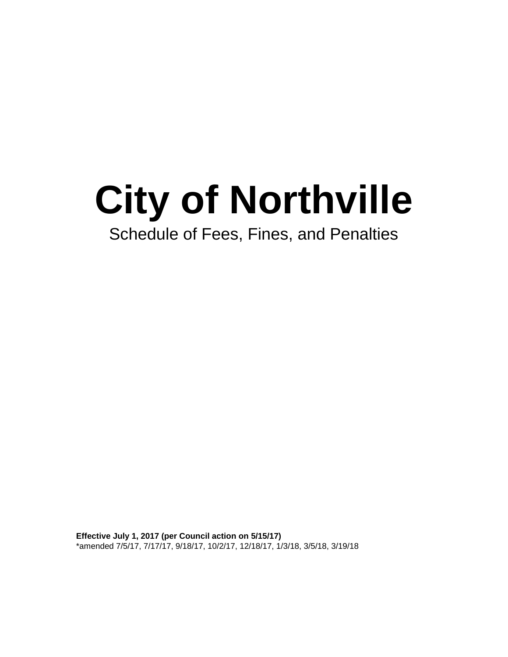# **City of Northville**

## Schedule of Fees, Fines, and Penalties

**Effective July 1, 2017 (per Council action on 5/15/17)** \*amended 7/5/17, 7/17/17, 9/18/17, 10/2/17, 12/18/17, 1/3/18, 3/5/18, 3/19/18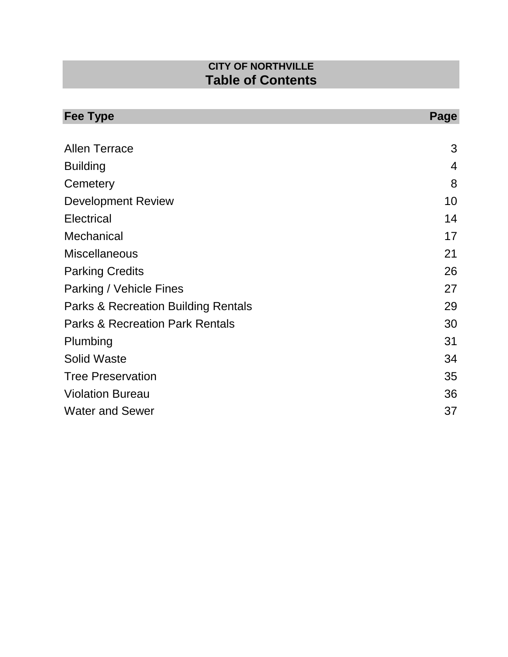## **CITY OF NORTHVILLE Table of Contents**

| <b>Fee Type</b>                                | Page           |
|------------------------------------------------|----------------|
| <b>Allen Terrace</b>                           | 3              |
| <b>Building</b>                                | $\overline{4}$ |
| Cemetery                                       | 8              |
| <b>Development Review</b>                      | 10             |
| <b>Electrical</b>                              | 14             |
| Mechanical                                     | 17             |
| <b>Miscellaneous</b>                           | 21             |
| <b>Parking Credits</b>                         | 26             |
| Parking / Vehicle Fines                        | 27             |
| <b>Parks &amp; Recreation Building Rentals</b> | 29             |
| <b>Parks &amp; Recreation Park Rentals</b>     | 30             |
| Plumbing                                       | 31             |
| <b>Solid Waste</b>                             | 34             |
| <b>Tree Preservation</b>                       | 35             |
| <b>Violation Bureau</b>                        | 36             |
| <b>Water and Sewer</b>                         | 37             |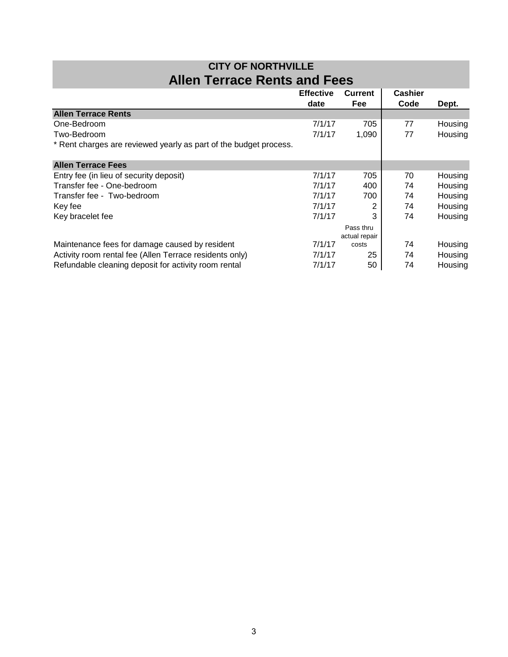| <b>CITY OF NORTHVILLE</b>           |  |  |
|-------------------------------------|--|--|
| <b>Allen Terrace Rents and Fees</b> |  |  |

|                                                                   | <b>Effective</b> | <b>Current</b> | <b>Cashier</b> |         |
|-------------------------------------------------------------------|------------------|----------------|----------------|---------|
|                                                                   | date             | <b>Fee</b>     | Code           | Dept.   |
| <b>Allen Terrace Rents</b>                                        |                  |                |                |         |
| One-Bedroom                                                       | 7/1/17           | 705            | 77             | Housing |
| Two-Bedroom                                                       | 7/1/17           | 1,090          | 77             | Housing |
| * Rent charges are reviewed yearly as part of the budget process. |                  |                |                |         |
| <b>Allen Terrace Fees</b>                                         |                  |                |                |         |
| Entry fee (in lieu of security deposit)                           | 7/1/17           | 705            | 70             | Housing |
| Transfer fee - One-bedroom                                        | 7/1/17           | 400            | 74             | Housing |
| Transfer fee - Two-bedroom                                        | 7/1/17           | 700            | 74             | Housing |
| Key fee                                                           | 7/1/17           |                | 74             | Housing |
| Key bracelet fee                                                  | 7/1/17           | 3              | 74             | Housing |
|                                                                   |                  | Pass thru      |                |         |
|                                                                   |                  | actual repair  |                |         |
| Maintenance fees for damage caused by resident                    | 7/1/17           | costs          | 74             | Housing |
| Activity room rental fee (Allen Terrace residents only)           | 7/1/17           | 25             | 74             | Housing |
| Refundable cleaning deposit for activity room rental              | 7/1/17           | 50             | 74             | Housing |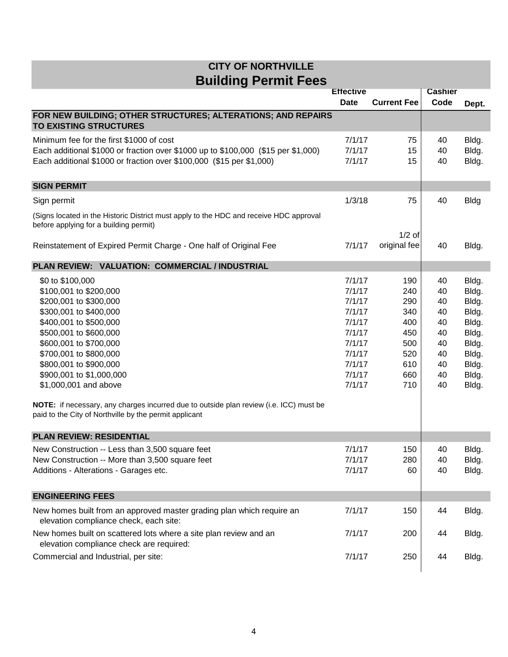|                                                                                                                 | <b>Effective</b> |                    | <b>Cashier</b> |             |
|-----------------------------------------------------------------------------------------------------------------|------------------|--------------------|----------------|-------------|
|                                                                                                                 | <b>Date</b>      | <b>Current Fee</b> | Code           | Dept.       |
| FOR NEW BUILDING; OTHER STRUCTURES; ALTERATIONS; AND REPAIRS                                                    |                  |                    |                |             |
| <b>TO EXISTING STRUCTURES</b>                                                                                   |                  |                    |                |             |
| Minimum fee for the first \$1000 of cost                                                                        | 7/1/17           | 75                 | 40             | Bldg.       |
| Each additional \$1000 or fraction over \$1000 up to \$100,000 (\$15 per \$1,000)                               | 7/1/17           | 15                 | 40             | Bldg.       |
| Each additional \$1000 or fraction over \$100,000 (\$15 per \$1,000)                                            | 7/1/17           | 15                 | 40             | Bldg.       |
|                                                                                                                 |                  |                    |                |             |
| <b>SIGN PERMIT</b>                                                                                              |                  |                    |                |             |
| Sign permit                                                                                                     | 1/3/18           | 75                 | 40             | <b>Bldg</b> |
| (Signs located in the Historic District must apply to the HDC and receive HDC approval                          |                  |                    |                |             |
| before applying for a building permit)                                                                          |                  |                    |                |             |
|                                                                                                                 |                  | $1/2$ of           |                |             |
| Reinstatement of Expired Permit Charge - One half of Original Fee                                               | 7/1/17           | original fee       | 40             | Bldg.       |
| PLAN REVIEW: VALUATION: COMMERCIAL / INDUSTRIAL                                                                 |                  |                    |                |             |
| \$0 to \$100,000                                                                                                | 7/1/17           | 190                | 40             | Bldg.       |
| \$100,001 to \$200,000                                                                                          | 7/1/17           | 240                | 40             | Bldg.       |
| \$200,001 to \$300,000                                                                                          | 7/1/17           | 290                | 40             | Bldg.       |
| \$300,001 to \$400,000                                                                                          | 7/1/17           | 340                | 40             | Bldg.       |
| \$400,001 to \$500,000                                                                                          | 7/1/17           | 400                | 40             | Bldg.       |
| \$500,001 to \$600,000                                                                                          | 7/1/17           | 450                | 40             | Bldg.       |
| \$600,001 to \$700,000                                                                                          | 7/1/17           | 500                | 40             | Bldg.       |
| \$700,001 to \$800,000                                                                                          | 7/1/17           | 520                | 40             | Bldg.       |
| \$800,001 to \$900,000                                                                                          | 7/1/17           | 610                | 40             | Bldg.       |
| \$900,001 to \$1,000,000                                                                                        | 7/1/17           | 660                | 40             | Bldg.       |
| \$1,000,001 and above                                                                                           | 7/1/17           | 710                | 40             | Bldg.       |
| NOTE: if necessary, any charges incurred due to outside plan review (i.e. ICC) must be                          |                  |                    |                |             |
| paid to the City of Northville by the permit applicant                                                          |                  |                    |                |             |
|                                                                                                                 |                  |                    |                |             |
| <b>PLAN REVIEW: RESIDENTIAL</b>                                                                                 |                  |                    |                |             |
| New Construction -- Less than 3,500 square feet                                                                 | 7/1/17           | 150                | 40             | Bldg.       |
| New Construction -- More than 3,500 square feet                                                                 | 7/1/17           | 280                | 40             | Bldg.       |
| Additions - Alterations - Garages etc.                                                                          | 7/1/17           | 60                 | 40             | Bldg.       |
|                                                                                                                 |                  |                    |                |             |
| <b>ENGINEERING FEES</b>                                                                                         |                  |                    |                |             |
| New homes built from an approved master grading plan which require an<br>elevation compliance check, each site: | 7/1/17           | 150                | 44             | Bldg.       |
| New homes built on scattered lots where a site plan review and an<br>elevation compliance check are required:   | 7/1/17           | 200                | 44             | Bldg.       |
| Commercial and Industrial, per site:                                                                            | 7/1/17           | 250                | 44             | Bldg.       |
|                                                                                                                 |                  |                    |                |             |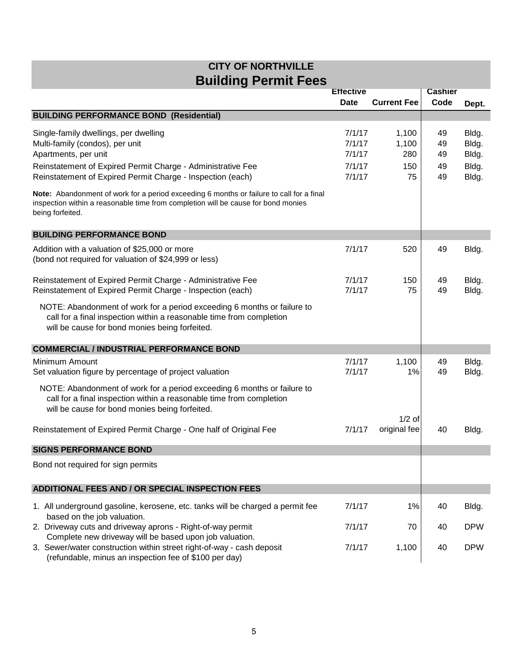|                                                                                                                                                                                                   | <b>Effective</b>           |                       | <b>Cashier</b> |                         |
|---------------------------------------------------------------------------------------------------------------------------------------------------------------------------------------------------|----------------------------|-----------------------|----------------|-------------------------|
|                                                                                                                                                                                                   | <b>Date</b>                | <b>Current Fee</b>    | Code           | Dept.                   |
| <b>BUILDING PERFORMANCE BOND (Residential)</b>                                                                                                                                                    |                            |                       |                |                         |
| Single-family dwellings, per dwelling<br>Multi-family (condos), per unit<br>Apartments, per unit                                                                                                  | 7/1/17<br>7/1/17<br>7/1/17 | 1,100<br>1,100<br>280 | 49<br>49<br>49 | Bldg.<br>Bldg.<br>Bldg. |
| Reinstatement of Expired Permit Charge - Administrative Fee<br>Reinstatement of Expired Permit Charge - Inspection (each)                                                                         | 7/1/17<br>7/1/17           | 150<br>75             | 49<br>49       | Bldg.<br>Bldg.          |
| Note: Abandonment of work for a period exceeding 6 months or failure to call for a final<br>inspection within a reasonable time from completion will be cause for bond monies<br>being forfeited. |                            |                       |                |                         |
| <b>BUILDING PERFORMANCE BOND</b>                                                                                                                                                                  |                            |                       |                |                         |
| Addition with a valuation of \$25,000 or more<br>(bond not required for valuation of \$24,999 or less)                                                                                            | 7/1/17                     | 520                   | 49             | Bldg.                   |
| Reinstatement of Expired Permit Charge - Administrative Fee<br>Reinstatement of Expired Permit Charge - Inspection (each)                                                                         | 7/1/17<br>7/1/17           | 150<br>75             | 49<br>49       | Bldg.<br>Bldg.          |
| NOTE: Abandonment of work for a period exceeding 6 months or failure to<br>call for a final inspection within a reasonable time from completion<br>will be cause for bond monies being forfeited. |                            |                       |                |                         |
| <b>COMMERCIAL / INDUSTRIAL PERFORMANCE BOND</b>                                                                                                                                                   |                            |                       |                |                         |
| Minimum Amount<br>Set valuation figure by percentage of project valuation                                                                                                                         | 7/1/17<br>7/1/17           | 1,100<br>1%           | 49<br>49       | Bldg.<br>Bldg.          |
| NOTE: Abandonment of work for a period exceeding 6 months or failure to<br>call for a final inspection within a reasonable time from completion<br>will be cause for bond monies being forfeited. |                            |                       |                |                         |
|                                                                                                                                                                                                   |                            | $1/2$ of              |                |                         |
| Reinstatement of Expired Permit Charge - One half of Original Fee                                                                                                                                 | 7/1/17                     | original fee          | 40             | Bldg.                   |
| <b>SIGNS PERFORMANCE BOND</b>                                                                                                                                                                     |                            |                       |                |                         |
| Bond not required for sign permits                                                                                                                                                                |                            |                       |                |                         |
| ADDITIONAL FEES AND / OR SPECIAL INSPECTION FEES                                                                                                                                                  |                            |                       |                |                         |
| 1. All underground gasoline, kerosene, etc. tanks will be charged a permit fee<br>based on the job valuation.                                                                                     | 7/1/17                     | 1%                    | 40             | Bldg.                   |
| 2. Driveway cuts and driveway aprons - Right-of-way permit<br>Complete new driveway will be based upon job valuation.                                                                             | 7/1/17                     | 70                    | 40             | <b>DPW</b>              |
| 3. Sewer/water construction within street right-of-way - cash deposit<br>(refundable, minus an inspection fee of \$100 per day)                                                                   | 7/1/17                     | 1,100                 | 40             | <b>DPW</b>              |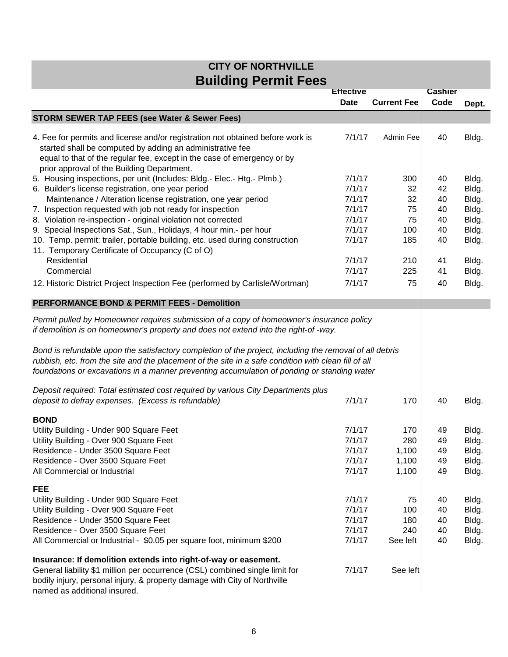|                                                                                                                                                                                                                                                                                                                | <b>Effective</b> |                    | <b>Cashier</b> |                |
|----------------------------------------------------------------------------------------------------------------------------------------------------------------------------------------------------------------------------------------------------------------------------------------------------------------|------------------|--------------------|----------------|----------------|
|                                                                                                                                                                                                                                                                                                                | <b>Date</b>      | <b>Current Fee</b> | Code           | Dept.          |
| <b>STORM SEWER TAP FEES (see Water &amp; Sewer Fees)</b>                                                                                                                                                                                                                                                       |                  |                    |                |                |
| 4. Fee for permits and license and/or registration not obtained before work is<br>started shall be computed by adding an administrative fee<br>equal to that of the regular fee, except in the case of emergency or by<br>prior approval of the Building Department.                                           | 7/1/17           | Admin Fee          | 40             | Bldg.          |
| 5. Housing inspections, per unit (Includes: Bldg.- Elec.- Htg.- Plmb.)                                                                                                                                                                                                                                         | 7/1/17           | 300                | 40             | Bldg.          |
| 6. Builder's license registration, one year period                                                                                                                                                                                                                                                             | 7/1/17           | 32                 | 42             | Bldg.          |
| Maintenance / Alteration license registration, one year period                                                                                                                                                                                                                                                 | 7/1/17           | 32                 | 40             | Bldg.          |
| 7. Inspection requested with job not ready for inspection                                                                                                                                                                                                                                                      | 7/1/17           | 75                 | 40             | Bldg.          |
| 8. Violation re-inspection - original violation not corrected                                                                                                                                                                                                                                                  | 7/1/17           | 75                 | 40             | Bldg.          |
| 9. Special Inspections Sat., Sun., Holidays, 4 hour min.- per hour                                                                                                                                                                                                                                             | 7/1/17           | 100                | 40             | Bldg.          |
| 10. Temp. permit: trailer, portable building, etc. used during construction<br>11. Temporary Certificate of Occupancy (C of O)                                                                                                                                                                                 | 7/1/17           | 185                | 40             | Bldg.          |
| Residential                                                                                                                                                                                                                                                                                                    | 7/1/17           | 210                | 41             | Bldg.          |
| Commercial                                                                                                                                                                                                                                                                                                     | 7/1/17           | 225                | 41             | Bldg.          |
| 12. Historic District Project Inspection Fee (performed by Carlisle/Wortman)                                                                                                                                                                                                                                   | 7/1/17           | 75                 | 40             | Bldg.          |
| <b>PERFORMANCE BOND &amp; PERMIT FEES - Demolition</b>                                                                                                                                                                                                                                                         |                  |                    |                |                |
| Bond is refundable upon the satisfactory completion of the project, including the removal of all debris<br>rubbish, etc. from the site and the placement of the site in a safe condition with clean fill of all<br>foundations or excavations in a manner preventing accumulation of ponding or standing water |                  |                    |                |                |
| Deposit required: Total estimated cost required by various City Departments plus                                                                                                                                                                                                                               |                  |                    |                |                |
| deposit to defray expenses. (Excess is refundable)                                                                                                                                                                                                                                                             | 7/1/17           | 170                | 40             | Bldg.          |
| <b>BOND</b>                                                                                                                                                                                                                                                                                                    |                  |                    |                |                |
| Utility Building - Under 900 Square Feet<br>Utility Building - Over 900 Square Feet                                                                                                                                                                                                                            | 7/1/17<br>7/1/17 | 170<br>280         | 49<br>49       | Bldg.          |
| Residence - Under 3500 Square Feet                                                                                                                                                                                                                                                                             | 7/1/17           | 1,100              | 49             | Bldg.<br>Bldg. |
| Residence - Over 3500 Square Feet                                                                                                                                                                                                                                                                              | 7/1/17           | 1,100              | 49             | Bldg.          |
| All Commercial or Industrial                                                                                                                                                                                                                                                                                   | 7/1/17           | 1,100              | 49             | Bldg.          |
| <b>FEE</b>                                                                                                                                                                                                                                                                                                     |                  |                    |                |                |
| Utility Building - Under 900 Square Feet                                                                                                                                                                                                                                                                       | 7/1/17           | 75                 | 40             | Bldg.          |
| Utility Building - Over 900 Square Feet                                                                                                                                                                                                                                                                        | 7/1/17           | 100                | 40             | Bldg.          |
| Residence - Under 3500 Square Feet                                                                                                                                                                                                                                                                             | 7/1/17           | 180                | 40             | Bldg.          |
| Residence - Over 3500 Square Feet                                                                                                                                                                                                                                                                              | 7/1/17           | 240                | 40             | Bldg.          |
| All Commercial or Industrial - \$0.05 per square foot, minimum \$200                                                                                                                                                                                                                                           | 7/1/17           | See left           | 40             | Bldg.          |
| Insurance: If demolition extends into right-of-way or easement.<br>General liability \$1 million per occurrence (CSL) combined single limit for<br>bodily injury, personal injury, & property damage with City of Northville<br>named as additional insured.                                                   | 7/1/17           | See left           |                |                |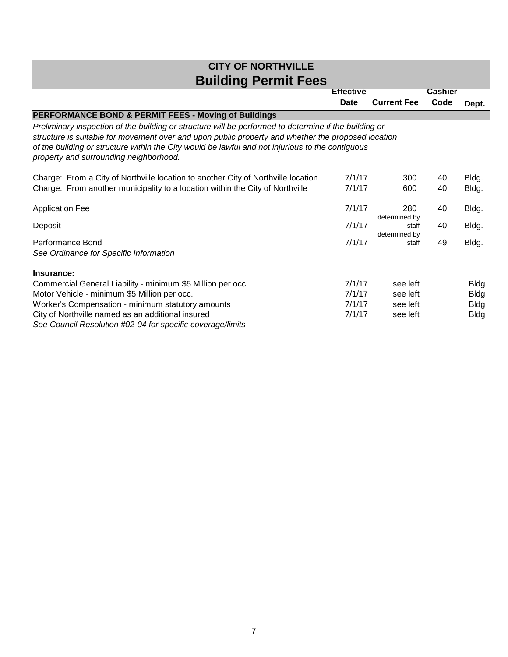|                                                                                                                                                                                                                                                                                                                                                           | <b>Effective</b> |                        | <b>Cashier</b> |             |
|-----------------------------------------------------------------------------------------------------------------------------------------------------------------------------------------------------------------------------------------------------------------------------------------------------------------------------------------------------------|------------------|------------------------|----------------|-------------|
|                                                                                                                                                                                                                                                                                                                                                           | Date             | <b>Current Fee</b>     | Code           | Dept.       |
| PERFORMANCE BOND & PERMIT FEES - Moving of Buildings                                                                                                                                                                                                                                                                                                      |                  |                        |                |             |
| Preliminary inspection of the building or structure will be performed to determine if the building or<br>structure is suitable for movement over and upon public property and whether the proposed location<br>of the building or structure within the City would be lawful and not injurious to the contiguous<br>property and surrounding neighborhood. |                  |                        |                |             |
| Charge: From a City of Northville location to another City of Northville location.                                                                                                                                                                                                                                                                        | 7/1/17           | 300                    | 40             | Bldg.       |
| Charge: From another municipality to a location within the City of Northville                                                                                                                                                                                                                                                                             | 7/1/17           | 600                    | 40             | Bldg.       |
| <b>Application Fee</b>                                                                                                                                                                                                                                                                                                                                    | 7/1/17           | 280<br>determined by   | 40             | Bldg.       |
| Deposit                                                                                                                                                                                                                                                                                                                                                   | 7/1/17           | staff<br>determined by | 40             | Bldg.       |
| Performance Bond<br>See Ordinance for Specific Information                                                                                                                                                                                                                                                                                                | 7/1/17           | staff                  | 49             | Bldg.       |
| Insurance:                                                                                                                                                                                                                                                                                                                                                |                  |                        |                |             |
| Commercial General Liability - minimum \$5 Million per occ.                                                                                                                                                                                                                                                                                               | 7/1/17           | see left               |                | <b>Bldg</b> |
| Motor Vehicle - minimum \$5 Million per occ.                                                                                                                                                                                                                                                                                                              | 7/1/17           | see left               |                | <b>Bldg</b> |
| Worker's Compensation - minimum statutory amounts                                                                                                                                                                                                                                                                                                         | 7/1/17           | see left               |                | <b>Bldg</b> |
| City of Northville named as an additional insured<br>See Council Resolution #02-04 for specific coverage/limits                                                                                                                                                                                                                                           | 7/1/17           | see left               |                | <b>Bldg</b> |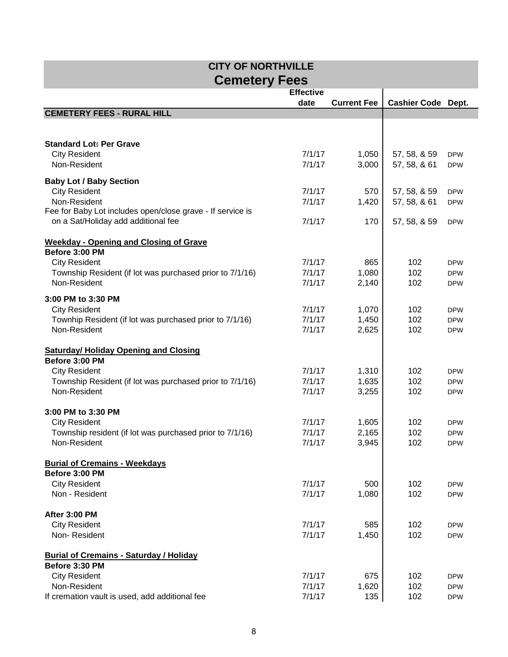| <b>CITY OF NORTHVILLE</b>                                       |                  |                    |                           |                          |  |
|-----------------------------------------------------------------|------------------|--------------------|---------------------------|--------------------------|--|
| <b>Cemetery Fees</b>                                            |                  |                    |                           |                          |  |
|                                                                 | <b>Effective</b> |                    |                           |                          |  |
|                                                                 | date             | <b>Current Fee</b> | <b>Cashier Code Dept.</b> |                          |  |
| <b>CEMETERY FEES - RURAL HILL</b>                               |                  |                    |                           |                          |  |
|                                                                 |                  |                    |                           |                          |  |
|                                                                 |                  |                    |                           |                          |  |
| <b>Standard Lot: Per Grave</b>                                  | 7/1/17           |                    | 57, 58, & 59              |                          |  |
| <b>City Resident</b><br>Non-Resident                            | 7/1/17           | 1,050<br>3,000     | 57, 58, & 61              | <b>DPW</b><br><b>DPW</b> |  |
|                                                                 |                  |                    |                           |                          |  |
| <b>Baby Lot / Baby Section</b>                                  |                  |                    |                           |                          |  |
| <b>City Resident</b>                                            | 7/1/17           | 570                | 57, 58, & 59              | <b>DPW</b>               |  |
| Non-Resident                                                    | 7/1/17           | 1,420              | 57, 58, & 61              | <b>DPW</b>               |  |
| Fee for Baby Lot includes open/close grave - If service is      |                  |                    |                           |                          |  |
| on a Sat/Holiday add additional fee                             | 7/1/17           | 170                | 57, 58, & 59              | <b>DPW</b>               |  |
|                                                                 |                  |                    |                           |                          |  |
| <b>Weekday - Opening and Closing of Grave</b><br>Before 3:00 PM |                  |                    |                           |                          |  |
| <b>City Resident</b>                                            | 7/1/17           | 865                | 102                       | <b>DPW</b>               |  |
| Township Resident (if lot was purchased prior to 7/1/16)        | 7/1/17           | 1,080              | 102                       | <b>DPW</b>               |  |
| Non-Resident                                                    | 7/1/17           | 2,140              | 102                       | <b>DPW</b>               |  |
|                                                                 |                  |                    |                           |                          |  |
| 3:00 PM to 3:30 PM                                              |                  |                    |                           |                          |  |
| <b>City Resident</b>                                            | 7/1/17           | 1,070              | 102                       | <b>DPW</b>               |  |
| Townhip Resident (if lot was purchased prior to 7/1/16)         | 7/1/17           | 1,450              | 102                       | <b>DPW</b>               |  |
| Non-Resident                                                    | 7/1/17           | 2,625              | 102                       | <b>DPW</b>               |  |
|                                                                 |                  |                    |                           |                          |  |
| <b>Saturday/ Holiday Opening and Closing</b><br>Before 3:00 PM  |                  |                    |                           |                          |  |
| <b>City Resident</b>                                            | 7/1/17           | 1,310              | 102                       | <b>DPW</b>               |  |
| Township Resident (if lot was purchased prior to 7/1/16)        | 7/1/17           | 1,635              | 102                       | <b>DPW</b>               |  |
| Non-Resident                                                    | 7/1/17           | 3,255              | 102                       | <b>DPW</b>               |  |
|                                                                 |                  |                    |                           |                          |  |
| 3:00 PM to 3:30 PM                                              |                  |                    |                           |                          |  |
| <b>City Resident</b>                                            | 7/1/17           | 1,605              | 102                       | <b>DPW</b>               |  |
| Township resident (if lot was purchased prior to 7/1/16)        | 7/1/17           | 2,165              | 102                       | <b>DPW</b>               |  |
| Non-Resident                                                    | 7/1/17           | 3,945              | 102                       | <b>DPW</b>               |  |
|                                                                 |                  |                    |                           |                          |  |
| <b>Burial of Cremains - Weekdays</b>                            |                  |                    |                           |                          |  |
| Before 3:00 PM                                                  |                  |                    |                           |                          |  |
| <b>City Resident</b>                                            | 7/1/17           | 500                | 102                       | <b>DPW</b>               |  |
| Non - Resident                                                  | 7/1/17           | 1,080              | 102                       | <b>DPW</b>               |  |
| After 3:00 PM                                                   |                  |                    |                           |                          |  |
| <b>City Resident</b>                                            | 7/1/17           | 585                | 102                       |                          |  |
| Non-Resident                                                    | 7/1/17           | 1,450              | 102                       | <b>DPW</b><br><b>DPW</b> |  |
|                                                                 |                  |                    |                           |                          |  |
| <b>Burial of Cremains - Saturday / Holiday</b>                  |                  |                    |                           |                          |  |
| Before 3:30 PM                                                  |                  |                    |                           |                          |  |
| <b>City Resident</b>                                            | 7/1/17           | 675                | 102                       | <b>DPW</b>               |  |
| Non-Resident                                                    | 7/1/17           | 1,620              | 102                       | <b>DPW</b>               |  |
| If cremation vault is used, add additional fee                  | 7/1/17           | 135                | 102                       | <b>DPW</b>               |  |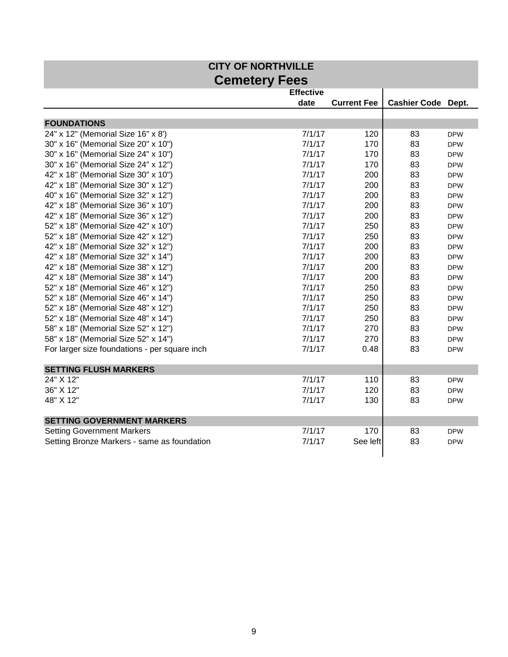| <b>CITY OF NORTHVILLE</b>                     |                  |                    |                           |            |  |
|-----------------------------------------------|------------------|--------------------|---------------------------|------------|--|
| <b>Cemetery Fees</b>                          |                  |                    |                           |            |  |
|                                               | <b>Effective</b> |                    |                           |            |  |
|                                               | date             | <b>Current Fee</b> | <b>Cashier Code Dept.</b> |            |  |
|                                               |                  |                    |                           |            |  |
| <b>FOUNDATIONS</b>                            |                  |                    |                           |            |  |
| 24" x 12" (Memorial Size 16" x 8')            | 7/1/17           | 120                | 83                        | <b>DPW</b> |  |
| 30" x 16" (Memorial Size 20" x 10")           | 7/1/17           | 170                | 83                        | <b>DPW</b> |  |
| 30" x 16" (Memorial Size 24" x 10")           | 7/1/17           | 170                | 83                        | <b>DPW</b> |  |
| 30" x 16" (Memorial Size 24" x 12")           | 7/1/17           | 170                | 83                        | <b>DPW</b> |  |
| 42" x 18" (Memorial Size 30" x 10")           | 7/1/17           | 200                | 83                        | <b>DPW</b> |  |
| 42" x 18" (Memorial Size 30" x 12")           | 7/1/17           | 200                | 83                        | <b>DPW</b> |  |
| 40" x 16" (Memorial Size 32" x 12")           | 7/1/17           | 200                | 83                        | <b>DPW</b> |  |
| 42" x 18" (Memorial Size 36" x 10")           | 7/1/17           | 200                | 83                        | <b>DPW</b> |  |
| 42" x 18" (Memorial Size 36" x 12")           | 7/1/17           | 200                | 83                        | <b>DPW</b> |  |
| 52" x 18" (Memorial Size 42" x 10")           | 7/1/17           | 250                | 83                        | <b>DPW</b> |  |
| 52" x 18" (Memorial Size 42" x 12")           | 7/1/17           | 250                | 83                        | <b>DPW</b> |  |
| 42" x 18" (Memorial Size 32" x 12")           | 7/1/17           | 200                | 83                        | <b>DPW</b> |  |
| 42" x 18" (Memorial Size 32" x 14")           | 7/1/17           | 200                | 83                        | <b>DPW</b> |  |
| 42" x 18" (Memorial Size 38" x 12")           | 7/1/17           | 200                | 83                        | <b>DPW</b> |  |
| 42" x 18" (Memorial Size 38" x 14")           | 7/1/17           | 200                | 83                        | <b>DPW</b> |  |
| 52" x 18" (Memorial Size 46" x 12")           | 7/1/17           | 250                | 83                        | <b>DPW</b> |  |
| 52" x 18" (Memorial Size 46" x 14")           | 7/1/17           | 250                | 83                        | <b>DPW</b> |  |
| 52" x 18" (Memorial Size 48" x 12")           | 7/1/17           | 250                | 83                        | <b>DPW</b> |  |
| 52" x 18" (Memorial Size 48" x 14")           | 7/1/17           | 250                | 83                        | <b>DPW</b> |  |
| 58" x 18" (Memorial Size 52" x 12")           | 7/1/17           | 270                | 83                        | <b>DPW</b> |  |
| 58" x 18" (Memorial Size 52" x 14")           | 7/1/17           | 270                | 83                        | <b>DPW</b> |  |
| For larger size foundations - per square inch | 7/1/17           | 0.48               | 83                        | <b>DPW</b> |  |
| <b>SETTING FLUSH MARKERS</b>                  |                  |                    |                           |            |  |
| 24" X 12"                                     | 7/1/17           | 110                | 83                        | <b>DPW</b> |  |
| 36" X 12"                                     | 7/1/17           | 120                | 83                        | <b>DPW</b> |  |
| 48" X 12"                                     | 7/1/17           | 130                | 83                        | <b>DPW</b> |  |
| <b>SETTING GOVERNMENT MARKERS</b>             |                  |                    |                           |            |  |
| <b>Setting Government Markers</b>             | 7/1/17           | 170                | 83                        | <b>DPW</b> |  |
| Setting Bronze Markers - same as foundation   | 7/1/17           | See left           | 83                        | <b>DPW</b> |  |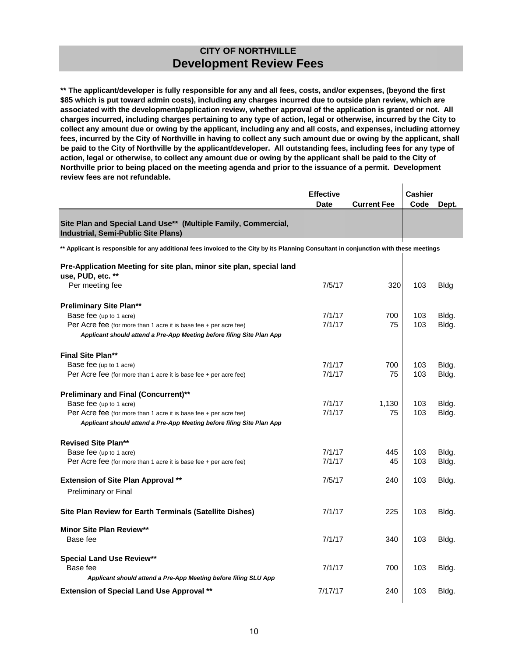**\*\* The applicant/developer is fully responsible for any and all fees, costs, and/or expenses, (beyond the first \$85 which is put toward admin costs), including any charges incurred due to outside plan review, which are associated with the development/application review, whether approval of the application is granted or not. All charges incurred, including charges pertaining to any type of action, legal or otherwise, incurred by the City to collect any amount due or owing by the applicant, including any and all costs, and expenses, including attorney fees, incurred by the City of Northville in having to collect any such amount due or owing by the applicant, shall be paid to the City of Northville by the applicant/developer. All outstanding fees, including fees for any type of action, legal or otherwise, to collect any amount due or owing by the applicant shall be paid to the City of Northville prior to being placed on the meeting agenda and prior to the issuance of a permit. Development review fees are not refundable.**

|                                                                                                                                        | <b>Effective</b><br>Date | <b>Current Fee</b> | <b>Cashier</b><br>Code | Dept.       |
|----------------------------------------------------------------------------------------------------------------------------------------|--------------------------|--------------------|------------------------|-------------|
| Site Plan and Special Land Use** (Multiple Family, Commercial,<br>Industrial, Semi-Public Site Plans)                                  |                          |                    |                        |             |
| ** Applicant is responsible for any additional fees invoiced to the City by its Planning Consultant in conjunction with these meetings |                          |                    |                        |             |
| Pre-Application Meeting for site plan, minor site plan, special land<br>use, PUD, etc. **                                              |                          |                    |                        |             |
| Per meeting fee                                                                                                                        | 7/5/17                   | 320                | 103                    | <b>Bldg</b> |
| <b>Preliminary Site Plan**</b>                                                                                                         |                          |                    |                        |             |
| Base fee (up to 1 acre)                                                                                                                | 7/1/17                   | 700                | 103                    | Bldg.       |
| Per Acre fee (for more than 1 acre it is base fee $+$ per acre fee)                                                                    | 7/1/17                   | 75                 | 103                    | Bldg.       |
| Applicant should attend a Pre-App Meeting before filing Site Plan App                                                                  |                          |                    |                        |             |
| <b>Final Site Plan**</b>                                                                                                               |                          |                    |                        |             |
| Base fee (up to 1 acre)                                                                                                                | 7/1/17                   | 700                | 103                    | Bldg.       |
| Per Acre fee (for more than 1 acre it is base fee $+$ per acre fee)                                                                    | 7/1/17                   | 75                 | 103                    | Bldg.       |
| <b>Preliminary and Final (Concurrent)**</b>                                                                                            |                          |                    |                        |             |
| Base fee (up to 1 acre)                                                                                                                | 7/1/17                   | 1,130              | 103                    | Bldg.       |
| Per Acre fee (for more than 1 acre it is base fee $+$ per acre fee)                                                                    | 7/1/17                   | 75                 | 103                    | Bldg.       |
| Applicant should attend a Pre-App Meeting before filing Site Plan App                                                                  |                          |                    |                        |             |
| <b>Revised Site Plan**</b>                                                                                                             |                          |                    |                        |             |
| Base fee (up to 1 acre)                                                                                                                | 7/1/17                   | 445                | 103                    | Bldg.       |
| Per Acre fee (for more than 1 acre it is base fee $+$ per acre fee)                                                                    | 7/1/17                   | 45                 | 103                    | Bldg.       |
| <b>Extension of Site Plan Approval **</b>                                                                                              | 7/5/17                   | 240                | 103                    | Bldg.       |
| Preliminary or Final                                                                                                                   |                          |                    |                        |             |
| Site Plan Review for Earth Terminals (Satellite Dishes)                                                                                | 7/1/17                   | 225                | 103                    | Bldg.       |
| <b>Minor Site Plan Review**</b><br>Base fee                                                                                            | 7/1/17                   | 340                | 103                    | Bldg.       |
| <b>Special Land Use Review**</b><br>Base fee                                                                                           | 7/1/17                   | 700                | 103                    | Bldg.       |
| Applicant should attend a Pre-App Meeting before filing SLU App                                                                        |                          |                    |                        |             |
| <b>Extension of Special Land Use Approval **</b>                                                                                       | 7/17/17                  | 240                | 103                    | Bldg.       |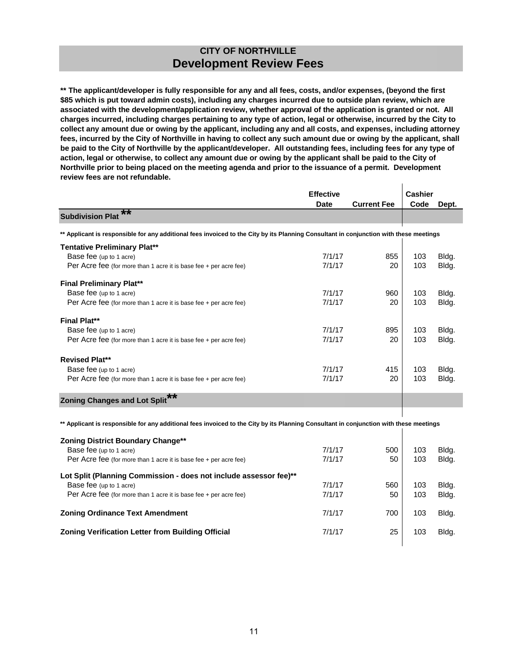**\*\* The applicant/developer is fully responsible for any and all fees, costs, and/or expenses, (beyond the first \$85 which is put toward admin costs), including any charges incurred due to outside plan review, which are associated with the development/application review, whether approval of the application is granted or not. All charges incurred, including charges pertaining to any type of action, legal or otherwise, incurred by the City to collect any amount due or owing by the applicant, including any and all costs, and expenses, including attorney fees, incurred by the City of Northville in having to collect any such amount due or owing by the applicant, shall be paid to the City of Northville by the applicant/developer. All outstanding fees, including fees for any type of action, legal or otherwise, to collect any amount due or owing by the applicant shall be paid to the City of Northville prior to being placed on the meeting agenda and prior to the issuance of a permit. Development review fees are not refundable.**  $\mathbf{I}$ 

|                                                                                                                                        | <b>Effective</b> |                    |      | Cashier |
|----------------------------------------------------------------------------------------------------------------------------------------|------------------|--------------------|------|---------|
|                                                                                                                                        | Date             | <b>Current Fee</b> | Code | Dept.   |
| $\overline{\bf x}$<br><b>Subdivision Plat</b>                                                                                          |                  |                    |      |         |
| ** Applicant is responsible for any additional fees invoiced to the City by its Planning Consultant in conjunction with these meetings |                  |                    |      |         |
| <b>Tentative Preliminary Plat**</b>                                                                                                    |                  |                    |      |         |
| Base fee (up to 1 acre)                                                                                                                | 7/1/17           | 855                | 103  | Bldg.   |
| Per Acre fee (for more than 1 acre it is base fee + per acre fee)                                                                      | 7/1/17           | 20                 | 103  | Bldg.   |
| <b>Final Preliminary Plat**</b>                                                                                                        |                  |                    |      |         |
| Base fee (up to 1 acre)                                                                                                                | 7/1/17           | 960                | 103  | Bldg.   |
| Per Acre fee (for more than 1 acre it is base fee + per acre fee)                                                                      | 7/1/17           | 20                 | 103  | Bldg.   |
| <b>Final Plat**</b>                                                                                                                    |                  |                    |      |         |
| Base fee (up to 1 acre)                                                                                                                | 7/1/17           | 895                | 103  | Bldg.   |
| Per Acre fee (for more than 1 acre it is base fee $+$ per acre fee)                                                                    | 7/1/17           | 20                 | 103  | Bldg.   |
| <b>Revised Plat**</b>                                                                                                                  |                  |                    |      |         |
| Base fee (up to 1 acre)                                                                                                                | 7/1/17           | 415                | 103  | Bldg.   |
| Per Acre fee (for more than 1 acre it is base fee + per acre fee)                                                                      | 7/1/17           | 20                 | 103  | Bldg.   |
| <b>Zoning Changes and Lot Split</b>                                                                                                    |                  |                    |      |         |
|                                                                                                                                        |                  |                    |      |         |
| ** Applicant is responsible for any additional fees invoiced to the City by its Planning Consultant in conjunction with these meetings |                  |                    |      |         |

| Zoning District Boundary Change**                                   |        |     |     |       |
|---------------------------------------------------------------------|--------|-----|-----|-------|
| Base fee (up to 1 acre)                                             | 7/1/17 | 500 | 103 | Bldg. |
| Per Acre fee (for more than 1 acre it is base fee $+$ per acre fee) | 7/1/17 | 50  | 103 | Bldg. |
| Lot Split (Planning Commission - does not include assessor fee)**   |        |     |     |       |
| Base fee (up to 1 acre)                                             | 7/1/17 | 560 | 103 | Bldg. |
| Per Acre fee (for more than 1 acre it is base fee $+$ per acre fee) | 7/1/17 | 50  | 103 | Bldg. |
| <b>Zoning Ordinance Text Amendment</b>                              | 7/1/17 | 700 | 103 | Bldg. |
| <b>Zoning Verification Letter from Building Official</b>            | 7/1/17 | 25  | 103 | Bldg. |
|                                                                     |        |     |     |       |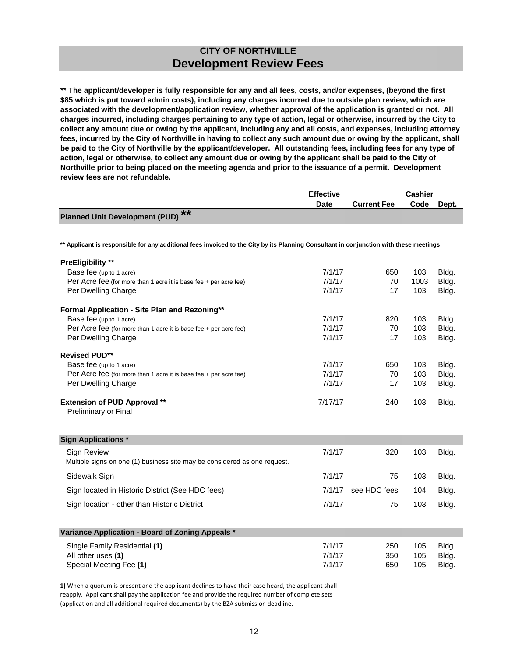**\*\* The applicant/developer is fully responsible for any and all fees, costs, and/or expenses, (beyond the first \$85 which is put toward admin costs), including any charges incurred due to outside plan review, which are associated with the development/application review, whether approval of the application is granted or not. All charges incurred, including charges pertaining to any type of action, legal or otherwise, incurred by the City to collect any amount due or owing by the applicant, including any and all costs, and expenses, including attorney fees, incurred by the City of Northville in having to collect any such amount due or owing by the applicant, shall be paid to the City of Northville by the applicant/developer. All outstanding fees, including fees for any type of action, legal or otherwise, to collect any amount due or owing by the applicant shall be paid to the City of Northville prior to being placed on the meeting agenda and prior to the issuance of a permit. Development review fees are not refundable.**

|                                                                                                                                        | <b>Effective</b> |                    | <b>Cashier</b> |       |
|----------------------------------------------------------------------------------------------------------------------------------------|------------------|--------------------|----------------|-------|
| **                                                                                                                                     | <b>Date</b>      | <b>Current Fee</b> | Code           | Dept. |
| <b>Planned Unit Development (PUD)</b>                                                                                                  |                  |                    |                |       |
|                                                                                                                                        |                  |                    |                |       |
| ** Applicant is responsible for any additional fees invoiced to the City by its Planning Consultant in conjunction with these meetings |                  |                    |                |       |
| <b>PreEligibility **</b>                                                                                                               |                  |                    |                |       |
| Base fee (up to 1 acre)                                                                                                                | 7/1/17           | 650                | 103            | Bldg. |
| Per Acre fee (for more than 1 acre it is base fee + per acre fee)                                                                      | 7/1/17           | 70                 | 1003           | Bldg. |
| Per Dwelling Charge                                                                                                                    | 7/1/17           | 17                 | 103            | Bldg. |
| Formal Application - Site Plan and Rezoning**                                                                                          |                  |                    |                |       |
| Base fee (up to 1 acre)                                                                                                                | 7/1/17           | 820                | 103            | Bldg. |
| Per Acre fee (for more than 1 acre it is base fee $+$ per acre fee)                                                                    | 7/1/17           | 70                 | 103            | Bldg. |
| Per Dwelling Charge                                                                                                                    | 7/1/17           | 17                 | 103            | Bldg. |
| <b>Revised PUD**</b>                                                                                                                   |                  |                    |                |       |
| Base fee (up to 1 acre)                                                                                                                | 7/1/17           | 650                | 103            | Bldg. |
| Per Acre fee (for more than 1 acre it is base fee + per acre fee)                                                                      | 7/1/17           | 70                 | 103            | Bldg. |
| Per Dwelling Charge                                                                                                                    | 7/1/17           | 17                 | 103            | Bldg. |
| <b>Extension of PUD Approval **</b>                                                                                                    | 7/17/17          | 240                | 103            | Bldg. |
| Preliminary or Final                                                                                                                   |                  |                    |                |       |
|                                                                                                                                        |                  |                    |                |       |
| <b>Sign Applications *</b>                                                                                                             |                  |                    |                |       |
| <b>Sign Review</b>                                                                                                                     | 7/1/17           | 320                | 103            | Bldg. |
| Multiple signs on one (1) business site may be considered as one request.                                                              |                  |                    |                |       |
| Sidewalk Sign                                                                                                                          | 7/1/17           | 75                 | 103            | Bldg. |
| Sign located in Historic District (See HDC fees)                                                                                       | 7/1/17           | see HDC fees       | 104            | Bldg. |
| Sign location - other than Historic District                                                                                           | 7/1/17           | 75                 | 103            | Bldg. |
|                                                                                                                                        |                  |                    |                |       |
| Variance Application - Board of Zoning Appeals *                                                                                       |                  |                    |                |       |
| Single Family Residential (1)                                                                                                          | 7/1/17           | 250                | 105            | Bldg. |
| All other uses (1)                                                                                                                     | 7/1/17           | 350                | 105            | Bldg. |
| Special Meeting Fee (1)                                                                                                                | 7/1/17           | 650                | 105            | Bldg. |
| 1) When a quorum is present and the applicant declines to have their case heard, the applicant shall                                   |                  |                    |                |       |

reapply. Applicant shall pay the application fee and provide the required number of complete sets (application and all additional required documents) by the BZA submission deadline.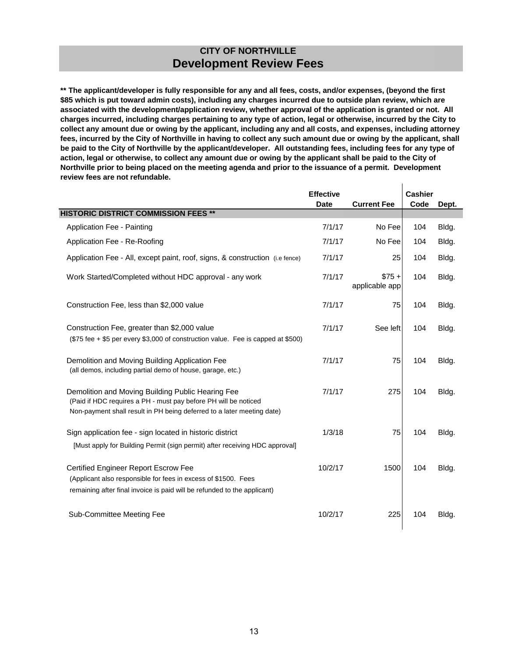**\*\* The applicant/developer is fully responsible for any and all fees, costs, and/or expenses, (beyond the first \$85 which is put toward admin costs), including any charges incurred due to outside plan review, which are associated with the development/application review, whether approval of the application is granted or not. All charges incurred, including charges pertaining to any type of action, legal or otherwise, incurred by the City to collect any amount due or owing by the applicant, including any and all costs, and expenses, including attorney fees, incurred by the City of Northville in having to collect any such amount due or owing by the applicant, shall be paid to the City of Northville by the applicant/developer. All outstanding fees, including fees for any type of action, legal or otherwise, to collect any amount due or owing by the applicant shall be paid to the City of Northville prior to being placed on the meeting agenda and prior to the issuance of a permit. Development review fees are not refundable.**

 $\mathbf{I}$ 

|                                                                                                                                                                                                | <b>Effective</b> |                          | <b>Cashier</b> |       |
|------------------------------------------------------------------------------------------------------------------------------------------------------------------------------------------------|------------------|--------------------------|----------------|-------|
|                                                                                                                                                                                                | <b>Date</b>      | <b>Current Fee</b>       | Code           | Dept. |
| <b>HISTORIC DISTRICT COMMISSION FEES **</b>                                                                                                                                                    |                  |                          |                |       |
| Application Fee - Painting                                                                                                                                                                     | 7/1/17           | No Fee                   | 104            | Bldg. |
| Application Fee - Re-Roofing                                                                                                                                                                   | 7/1/17           | No Fee                   | 104            | Bldg. |
| Application Fee - All, except paint, roof, signs, & construction (i.e fence)                                                                                                                   | 7/1/17           | 25                       | 104            | Bldg. |
| Work Started/Completed without HDC approval - any work                                                                                                                                         | 7/1/17           | $$75+$<br>applicable app | 104            | Bldg. |
| Construction Fee, less than \$2,000 value                                                                                                                                                      | 7/1/17           | 75                       | 104            | Bldg. |
| Construction Fee, greater than \$2,000 value<br>(\$75 fee + \$5 per every \$3,000 of construction value. Fee is capped at \$500)                                                               | 7/1/17           | See left                 | 104            | Bldg. |
| Demolition and Moving Building Application Fee<br>(all demos, including partial demo of house, garage, etc.)                                                                                   | 7/1/17           | 75                       | 104            | Bldg. |
| Demolition and Moving Building Public Hearing Fee<br>(Paid if HDC requires a PH - must pay before PH will be noticed<br>Non-payment shall result in PH being deferred to a later meeting date) | 7/1/17           | 275                      | 104            | Bldg. |
| Sign application fee - sign located in historic district<br>[Must apply for Building Permit (sign permit) after receiving HDC approval]                                                        | 1/3/18           | 75                       | 104            | Bldg. |
| Certified Engineer Report Escrow Fee<br>(Applicant also responsible for fees in excess of \$1500. Fees<br>remaining after final invoice is paid will be refunded to the applicant)             | 10/2/17          | 1500                     | 104            | Bldg. |
| Sub-Committee Meeting Fee                                                                                                                                                                      | 10/2/17          | 225                      | 104            | Bldg. |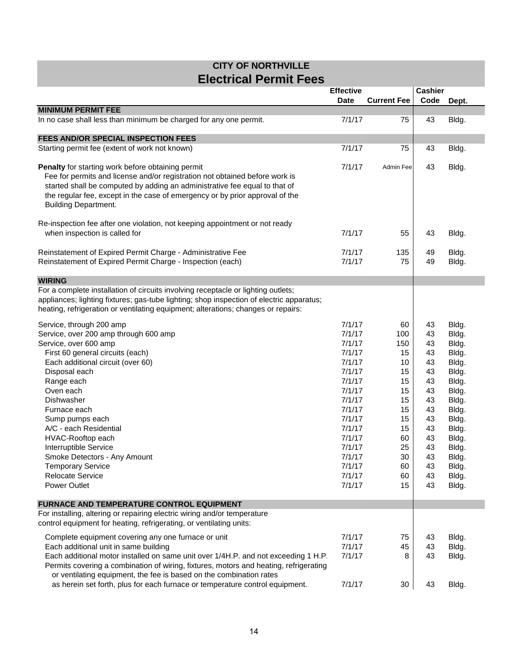#### **CITY OF NORTHVILLE Electrical Permit Fees**

|                                                                                                                                                                                                                                                                                                                               |                  |                    | <b>Cashier</b><br><b>Effective</b> |                |  |  |  |  |
|-------------------------------------------------------------------------------------------------------------------------------------------------------------------------------------------------------------------------------------------------------------------------------------------------------------------------------|------------------|--------------------|------------------------------------|----------------|--|--|--|--|
|                                                                                                                                                                                                                                                                                                                               | <b>Date</b>      | <b>Current Fee</b> | Code                               | Dept.          |  |  |  |  |
| <b>MINIMUM PERMIT FEE</b>                                                                                                                                                                                                                                                                                                     |                  |                    |                                    |                |  |  |  |  |
| In no case shall less than minimum be charged for any one permit.                                                                                                                                                                                                                                                             | 7/1/17           | 75                 | 43                                 | Bldg.          |  |  |  |  |
|                                                                                                                                                                                                                                                                                                                               |                  |                    |                                    |                |  |  |  |  |
| FEES AND/OR SPECIAL INSPECTION FEES                                                                                                                                                                                                                                                                                           |                  |                    |                                    |                |  |  |  |  |
| Starting permit fee (extent of work not known)                                                                                                                                                                                                                                                                                | 7/1/17           | 75                 | 43                                 | Bldg.          |  |  |  |  |
| Penalty for starting work before obtaining permit<br>Fee for permits and license and/or registration not obtained before work is<br>started shall be computed by adding an administrative fee equal to that of<br>the regular fee, except in the case of emergency or by prior approval of the<br><b>Building Department.</b> | 7/1/17           | Admin Fee          | 43                                 | Bldg.          |  |  |  |  |
| Re-inspection fee after one violation, not keeping appointment or not ready<br>when inspection is called for                                                                                                                                                                                                                  | 7/1/17           | 55                 | 43                                 | Bldg.          |  |  |  |  |
| Reinstatement of Expired Permit Charge - Administrative Fee<br>Reinstatement of Expired Permit Charge - Inspection (each)                                                                                                                                                                                                     | 7/1/17<br>7/1/17 | 135<br>75          | 49<br>49                           | Bldg.<br>Bldg. |  |  |  |  |
| <b>WIRING</b>                                                                                                                                                                                                                                                                                                                 |                  |                    |                                    |                |  |  |  |  |
| For a complete installation of circuits involving receptacle or lighting outlets;<br>appliances; lighting fixtures; gas-tube lighting; shop inspection of electric apparatus;<br>heating, refrigeration or ventilating equipment; alterations; changes or repairs:                                                            |                  |                    |                                    |                |  |  |  |  |
| Service, through 200 amp                                                                                                                                                                                                                                                                                                      | 7/1/17           | 60                 | 43                                 | Bldg.          |  |  |  |  |
| Service, over 200 amp through 600 amp                                                                                                                                                                                                                                                                                         | 7/1/17           | 100                | 43                                 | Bldg.          |  |  |  |  |
| Service, over 600 amp                                                                                                                                                                                                                                                                                                         | 7/1/17           | 150                | 43                                 | Bldg.          |  |  |  |  |
| First 60 general circuits (each)                                                                                                                                                                                                                                                                                              | 7/1/17           | 15                 | 43                                 | Bldg.          |  |  |  |  |
| Each additional circuit (over 60)                                                                                                                                                                                                                                                                                             | 7/1/17           | 10                 | 43                                 | Bldg.          |  |  |  |  |
| Disposal each                                                                                                                                                                                                                                                                                                                 | 7/1/17           | 15                 | 43                                 | Bldg.          |  |  |  |  |
| Range each                                                                                                                                                                                                                                                                                                                    | 7/1/17           | 15                 | 43                                 | Bldg.          |  |  |  |  |
| Oven each                                                                                                                                                                                                                                                                                                                     | 7/1/17           | 15                 | 43                                 | Bldg.          |  |  |  |  |
| Dishwasher                                                                                                                                                                                                                                                                                                                    | 7/1/17           | 15                 | 43                                 | Bldg.          |  |  |  |  |
| Furnace each                                                                                                                                                                                                                                                                                                                  | 7/1/17           | 15                 | 43                                 | Bldg.          |  |  |  |  |
| Sump pumps each                                                                                                                                                                                                                                                                                                               | 7/1/17           | 15                 | 43                                 | Bldg.          |  |  |  |  |
| A/C - each Residential                                                                                                                                                                                                                                                                                                        | 7/1/17           |                    |                                    |                |  |  |  |  |
|                                                                                                                                                                                                                                                                                                                               | 7/1/17           | 15<br>60           | 43<br>43                           | Bldg.          |  |  |  |  |
| HVAC-Rooftop each<br>Interruptible Service                                                                                                                                                                                                                                                                                    |                  |                    |                                    | Bldg.          |  |  |  |  |
|                                                                                                                                                                                                                                                                                                                               | 7/1/17           | 25<br>30           | 43<br>43                           | Bldg.          |  |  |  |  |
| Smoke Detectors - Any Amount                                                                                                                                                                                                                                                                                                  | 7/1/17           |                    |                                    | Bldg.          |  |  |  |  |
| <b>Temporary Service</b>                                                                                                                                                                                                                                                                                                      | 7/1/17           | 60                 | 43                                 | Bldg.          |  |  |  |  |
| <b>Relocate Service</b>                                                                                                                                                                                                                                                                                                       | 7/1/17           | 60<br>15           | 43                                 | Bldg.          |  |  |  |  |
| <b>Power Outlet</b>                                                                                                                                                                                                                                                                                                           | 7/1/17           |                    | 43                                 | Bldg.          |  |  |  |  |
| <b>FURNACE AND TEMPERATURE CONTROL EQUIPMENT</b>                                                                                                                                                                                                                                                                              |                  |                    |                                    |                |  |  |  |  |
| For installing, altering or repairing electric wiring and/or temperature                                                                                                                                                                                                                                                      |                  |                    |                                    |                |  |  |  |  |
| control equipment for heating, refrigerating, or ventilating units:                                                                                                                                                                                                                                                           |                  |                    |                                    |                |  |  |  |  |
| Complete equipment covering any one furnace or unit                                                                                                                                                                                                                                                                           | 7/1/17           | 75                 | 43                                 | Bldg.          |  |  |  |  |
| Each additional unit in same building                                                                                                                                                                                                                                                                                         | 7/1/17           | 45                 | 43                                 | Bldg.          |  |  |  |  |
| Each additional motor installed on same unit over 1/4H.P. and not exceeding 1 H.P.<br>Permits covering a combination of wiring, fixtures, motors and heating, refrigerating                                                                                                                                                   | 7/1/17           | 8                  | 43                                 | Bldg.          |  |  |  |  |
| or ventilating equipment, the fee is based on the combination rates                                                                                                                                                                                                                                                           |                  |                    |                                    |                |  |  |  |  |
| as herein set forth, plus for each furnace or temperature control equipment.                                                                                                                                                                                                                                                  | 7/1/17           | 30                 | 43                                 | Bldg.          |  |  |  |  |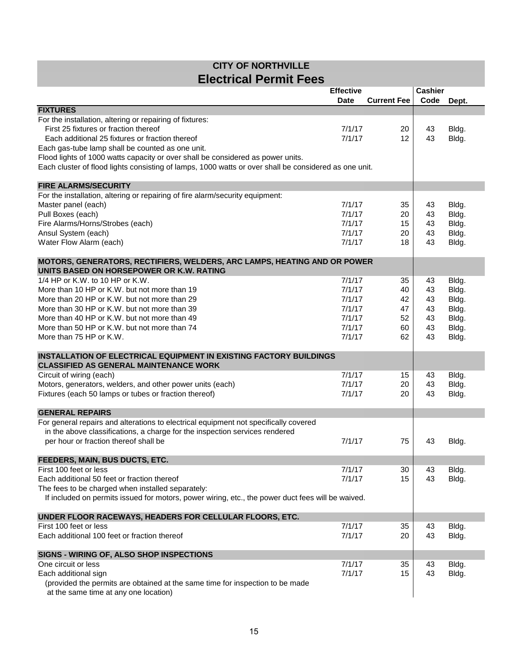| <b>CITY OF NORTHVILLE</b>     |
|-------------------------------|
| <b>Electrical Permit Fees</b> |

|                                                                                                                                                        | <b>Effective</b> |                    | <b>Cashier</b> |       |
|--------------------------------------------------------------------------------------------------------------------------------------------------------|------------------|--------------------|----------------|-------|
|                                                                                                                                                        | <b>Date</b>      | <b>Current Fee</b> | Code           | Dept. |
| <b>FIXTURES</b>                                                                                                                                        |                  |                    |                |       |
| For the installation, altering or repairing of fixtures:                                                                                               |                  |                    |                |       |
| First 25 fixtures or fraction thereof                                                                                                                  | 7/1/17           | 20                 | 43             | Bldg. |
| Each additional 25 fixtures or fraction thereof                                                                                                        | 7/1/17           | 12                 | 43             | Bldg. |
| Each gas-tube lamp shall be counted as one unit.                                                                                                       |                  |                    |                |       |
| Flood lights of 1000 watts capacity or over shall be considered as power units.                                                                        |                  |                    |                |       |
| Each cluster of flood lights consisting of lamps, 1000 watts or over shall be considered as one unit.                                                  |                  |                    |                |       |
| <b>FIRE ALARMS/SECURITY</b>                                                                                                                            |                  |                    |                |       |
| For the installation, altering or repairing of fire alarm/security equipment:                                                                          |                  |                    |                |       |
| Master panel (each)                                                                                                                                    | 7/1/17           | 35                 | 43             | Bldg. |
| Pull Boxes (each)                                                                                                                                      | 7/1/17           | 20                 | 43             | Bldg. |
| Fire Alarms/Horns/Strobes (each)                                                                                                                       | 7/1/17           | 15                 | 43             | Bldg. |
| Ansul System (each)                                                                                                                                    | 7/1/17           | 20                 | 43             | Bldg. |
| Water Flow Alarm (each)                                                                                                                                | 7/1/17           | 18                 | 43             | Bldg. |
|                                                                                                                                                        |                  |                    |                |       |
| MOTORS, GENERATORS, RECTIFIERS, WELDERS, ARC LAMPS, HEATING AND OR POWER                                                                               |                  |                    |                |       |
| UNITS BASED ON HORSEPOWER OR K.W. RATING                                                                                                               |                  |                    |                |       |
| 1/4 HP or K.W. to 10 HP or K.W.                                                                                                                        | 7/1/17           | 35                 | 43             | Bldg. |
| More than 10 HP or K.W. but not more than 19                                                                                                           | 7/1/17           | 40                 | 43             | Bldg. |
| More than 20 HP or K.W. but not more than 29                                                                                                           | 7/1/17           | 42                 | 43             | Bldg. |
| More than 30 HP or K.W. but not more than 39                                                                                                           | 7/1/17           | 47                 | 43             | Bldg. |
| More than 40 HP or K.W. but not more than 49                                                                                                           | 7/1/17           | 52                 | 43             | Bldg. |
| More than 50 HP or K.W. but not more than 74                                                                                                           | 7/1/17           | 60                 | 43             | Bldg. |
| More than 75 HP or K.W.                                                                                                                                | 7/1/17           | 62                 | 43             | Bldg. |
| <b>INSTALLATION OF ELECTRICAL EQUIPMENT IN EXISTING FACTORY BUILDINGS</b>                                                                              |                  |                    |                |       |
| <b>CLASSIFIED AS GENERAL MAINTENANCE WORK</b>                                                                                                          |                  |                    |                |       |
| Circuit of wiring (each)                                                                                                                               | 7/1/17           | 15                 | 43             | Bldg. |
| Motors, generators, welders, and other power units (each)                                                                                              | 7/1/17           | 20                 | 43             | Bldg. |
| Fixtures (each 50 lamps or tubes or fraction thereof)                                                                                                  | 7/1/17           | 20                 | 43             | Bldg. |
|                                                                                                                                                        |                  |                    |                |       |
| <b>GENERAL REPAIRS</b>                                                                                                                                 |                  |                    |                |       |
| For general repairs and alterations to electrical equipment not specifically covered                                                                   |                  |                    |                |       |
| in the above classifications, a charge for the inspection services rendered                                                                            |                  |                    |                |       |
| per hour or fraction thereof shall be                                                                                                                  | 7/1/17           | 75                 | 43             | Bldg. |
|                                                                                                                                                        |                  |                    |                |       |
| FEEDERS, MAIN, BUS DUCTS, ETC.                                                                                                                         |                  |                    |                |       |
| First 100 feet or less                                                                                                                                 | 7/1/17           | 30                 | 43             | Bldg. |
| Each additional 50 feet or fraction thereof                                                                                                            | 7/1/17           | 15                 | 43             | Bldg. |
| The fees to be charged when installed separately:<br>If included on permits issued for motors, power wiring, etc., the power duct fees will be waived. |                  |                    |                |       |
|                                                                                                                                                        |                  |                    |                |       |
| UNDER FLOOR RACEWAYS, HEADERS FOR CELLULAR FLOORS, ETC.                                                                                                |                  |                    |                |       |
| First 100 feet or less                                                                                                                                 | 7/1/17           | 35                 | 43             | Bldg. |
| Each additional 100 feet or fraction thereof                                                                                                           | 7/1/17           | 20                 | 43             | Bldg. |
|                                                                                                                                                        |                  |                    |                |       |
| SIGNS - WIRING OF, ALSO SHOP INSPECTIONS                                                                                                               |                  |                    |                |       |
| One circuit or less                                                                                                                                    | 7/1/17           | 35                 | 43             | Bldg. |
| Each additional sign                                                                                                                                   | 7/1/17           | 15                 | 43             | Bldg. |
| (provided the permits are obtained at the same time for inspection to be made                                                                          |                  |                    |                |       |
| at the same time at any one location)                                                                                                                  |                  |                    |                |       |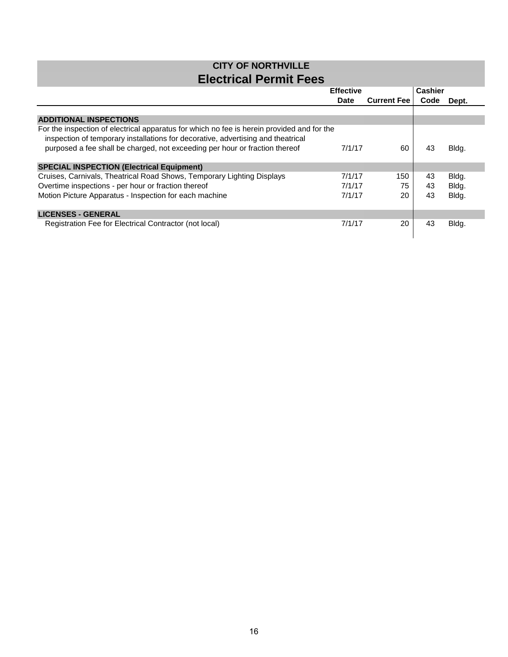#### **CITY OF NORTHVILLE Electrical Permit Fees**

|                                                                                                                                                                                | <b>Effective</b> |                    | <b>Cashier</b> |       |
|--------------------------------------------------------------------------------------------------------------------------------------------------------------------------------|------------------|--------------------|----------------|-------|
|                                                                                                                                                                                | Date             | <b>Current Fee</b> | Code           | Dept. |
|                                                                                                                                                                                |                  |                    |                |       |
| <b>ADDITIONAL INSPECTIONS</b>                                                                                                                                                  |                  |                    |                |       |
| For the inspection of electrical apparatus for which no fee is herein provided and for the<br>inspection of temporary installations for decorative, advertising and theatrical |                  |                    |                |       |
| purposed a fee shall be charged, not exceeding per hour or fraction thereof                                                                                                    | 7/1/17           | 60                 | 43             | Bldg. |
| <b>SPECIAL INSPECTION (Electrical Equipment)</b>                                                                                                                               |                  |                    |                |       |
| Cruises, Carnivals, Theatrical Road Shows, Temporary Lighting Displays                                                                                                         | 7/1/17           | 150                | 43             | Bldg. |
| Overtime inspections - per hour or fraction thereof                                                                                                                            | 7/1/17           | 75                 | 43             | Bldg. |
| Motion Picture Apparatus - Inspection for each machine                                                                                                                         | 7/1/17           | 20                 | 43             | Bldg. |
| <b>LICENSES - GENERAL</b>                                                                                                                                                      |                  |                    |                |       |
| Registration Fee for Electrical Contractor (not local)                                                                                                                         | 7/1/17           | 20                 | 43             | Bldg. |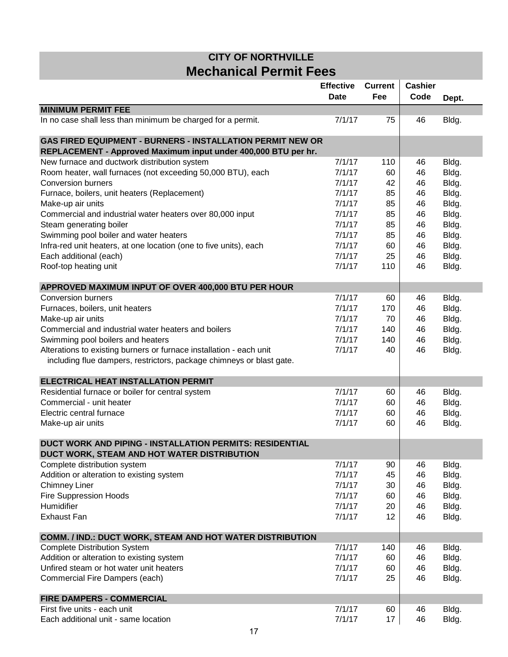## **Mechanical Permit Fees CITY OF NORTHVILLE**

|                                                                      | <b>Effective</b><br><b>Date</b> | <b>Current</b><br>Fee | <b>Cashier</b><br>Code | Dept. |
|----------------------------------------------------------------------|---------------------------------|-----------------------|------------------------|-------|
| <b>MINIMUM PERMIT FEE</b>                                            |                                 |                       |                        |       |
| In no case shall less than minimum be charged for a permit.          | 7/1/17                          | 75                    | 46                     | Bldg. |
| <b>GAS FIRED EQUIPMENT - BURNERS - INSTALLATION PERMIT NEW OR</b>    |                                 |                       |                        |       |
| REPLACEMENT - Approved Maximum input under 400,000 BTU per hr.       |                                 |                       |                        |       |
| New furnace and ductwork distribution system                         | 7/1/17                          | 110                   | 46                     | Bldg. |
| Room heater, wall furnaces (not exceeding 50,000 BTU), each          | 7/1/17                          | 60                    | 46                     | Bldg. |
| <b>Conversion burners</b>                                            | 7/1/17                          | 42                    | 46                     | Bldg. |
| Furnace, boilers, unit heaters (Replacement)                         | 7/1/17                          | 85                    | 46                     | Bldg. |
| Make-up air units                                                    | 7/1/17                          | 85                    | 46                     | Bldg. |
| Commercial and industrial water heaters over 80,000 input            | 7/1/17                          | 85                    | 46                     | Bldg. |
| Steam generating boiler                                              | 7/1/17                          | 85                    | 46                     | Bldg. |
| Swimming pool boiler and water heaters                               | 7/1/17                          | 85                    | 46                     | Bldg. |
| Infra-red unit heaters, at one location (one to five units), each    | 7/1/17                          | 60                    | 46                     | Bldg. |
| Each additional (each)                                               | 7/1/17                          | 25                    | 46                     | Bldg. |
| Roof-top heating unit                                                | 7/1/17                          | 110                   | 46                     | Bldg. |
| APPROVED MAXIMUM INPUT OF OVER 400,000 BTU PER HOUR                  |                                 |                       |                        |       |
| <b>Conversion burners</b>                                            | 7/1/17                          | 60                    | 46                     | Bldg. |
| Furnaces, boilers, unit heaters                                      | 7/1/17                          | 170                   | 46                     | Bldg. |
| Make-up air units                                                    | 7/1/17                          | 70                    | 46                     | Bldg. |
| Commercial and industrial water heaters and boilers                  | 7/1/17                          | 140                   | 46                     | Bldg. |
| Swimming pool boilers and heaters                                    | 7/1/17                          | 140                   | 46                     | Bldg. |
| Alterations to existing burners or furnace installation - each unit  | 7/1/17                          | 40                    | 46                     | Bldg. |
| including flue dampers, restrictors, package chimneys or blast gate. |                                 |                       |                        |       |
| ELECTRICAL HEAT INSTALLATION PERMIT                                  |                                 |                       |                        |       |
| Residential furnace or boiler for central system                     | 7/1/17                          | 60                    | 46                     | Bldg. |
| Commercial - unit heater                                             | 7/1/17                          | 60                    | 46                     | Bldg. |
| Electric central furnace                                             | 7/1/17                          | 60                    | 46                     | Bldg. |
| Make-up air units                                                    | 7/1/17                          | 60                    | 46                     | Bldg. |
| DUCT WORK AND PIPING - INSTALLATION PERMITS: RESIDENTIAL             |                                 |                       |                        |       |
| DUCT WORK, STEAM AND HOT WATER DISTRIBUTION                          |                                 |                       |                        |       |
| Complete distribution system                                         | 7/1/17                          | 90                    | 46                     | Bldg. |
| Addition or alteration to existing system                            | 7/1/17                          | 45                    | 46                     | Bldg. |
| <b>Chimney Liner</b>                                                 | 7/1/17                          | 30                    | 46                     | Bldg. |
| <b>Fire Suppression Hoods</b>                                        | 7/1/17                          | 60                    | 46                     | Bldg. |
| Humidifier                                                           | 7/1/17                          | 20                    | 46                     | Bldg. |
| <b>Exhaust Fan</b>                                                   | 7/1/17                          | 12                    | 46                     | Bldg. |
| COMM. / IND.: DUCT WORK, STEAM AND HOT WATER DISTRIBUTION            |                                 |                       |                        |       |
| <b>Complete Distribution System</b>                                  | 7/1/17                          | 140                   | 46                     | Bldg. |
| Addition or alteration to existing system                            | 7/1/17                          | 60                    | 46                     | Bldg. |
| Unfired steam or hot water unit heaters                              | 7/1/17                          | 60                    | 46                     | Bldg. |
| Commercial Fire Dampers (each)                                       | 7/1/17                          | 25                    | 46                     | Bldg. |
| <b>FIRE DAMPERS - COMMERCIAL</b>                                     |                                 |                       |                        |       |
| First five units - each unit                                         | 7/1/17                          | 60                    | 46                     | Bldg. |
| Each additional unit - same location                                 | 7/1/17                          | 17                    | 46                     | Bldg. |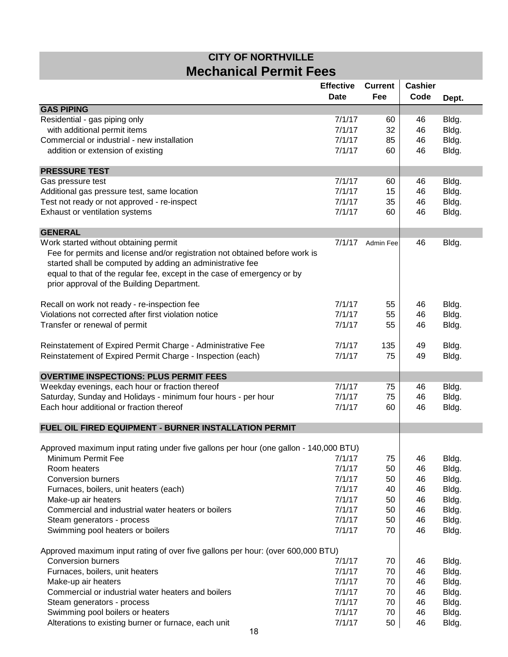## **Mechanical Permit Fees CITY OF NORTHVILLE**

|                                                                                      | <b>Effective</b><br><b>Date</b> | <b>Current</b><br>Fee | <b>Cashier</b><br>Code | Dept. |
|--------------------------------------------------------------------------------------|---------------------------------|-----------------------|------------------------|-------|
| <b>GAS PIPING</b>                                                                    |                                 |                       |                        |       |
| Residential - gas piping only                                                        | 7/1/17                          | 60                    | 46                     | Bldg. |
| with additional permit items                                                         | 7/1/17                          | 32                    | 46                     | Bldg. |
| Commercial or industrial - new installation                                          | 7/1/17                          | 85                    | 46                     | Bldg. |
| addition or extension of existing                                                    | 7/1/17                          | 60                    | 46                     | Bldg. |
| <b>PRESSURE TEST</b>                                                                 |                                 |                       |                        |       |
| Gas pressure test                                                                    | 7/1/17                          | 60                    | 46                     | Bldg. |
| Additional gas pressure test, same location                                          | 7/1/17                          | 15                    | 46                     | Bldg. |
| Test not ready or not approved - re-inspect                                          | 7/1/17                          | 35                    | 46                     | Bldg. |
| Exhaust or ventilation systems                                                       | 7/1/17                          | 60                    | 46                     | Bldg. |
|                                                                                      |                                 |                       |                        |       |
| <b>GENERAL</b>                                                                       |                                 |                       |                        |       |
| Work started without obtaining permit                                                | 7/1/17                          | Admin Fee             | 46                     | Bldg. |
| Fee for permits and license and/or registration not obtained before work is          |                                 |                       |                        |       |
| started shall be computed by adding an administrative fee                            |                                 |                       |                        |       |
| equal to that of the regular fee, except in the case of emergency or by              |                                 |                       |                        |       |
| prior approval of the Building Department.                                           |                                 |                       |                        |       |
| Recall on work not ready - re-inspection fee                                         | 7/1/17                          | 55                    | 46                     | Bldg. |
| Violations not corrected after first violation notice                                | 7/1/17                          | 55                    | 46                     | Bldg. |
| Transfer or renewal of permit                                                        | 7/1/17                          | 55                    | 46                     | Bldg. |
|                                                                                      |                                 |                       |                        |       |
| Reinstatement of Expired Permit Charge - Administrative Fee                          | 7/1/17                          | 135                   | 49                     | Bldg. |
| Reinstatement of Expired Permit Charge - Inspection (each)                           | 7/1/17                          | 75                    | 49                     | Bldg. |
| <b>OVERTIME INSPECTIONS: PLUS PERMIT FEES</b>                                        |                                 |                       |                        |       |
| Weekday evenings, each hour or fraction thereof                                      | 7/1/17                          | 75                    | 46                     | Bldg. |
| Saturday, Sunday and Holidays - minimum four hours - per hour                        | 7/1/17                          | 75                    | 46                     | Bldg. |
| Each hour additional or fraction thereof                                             | 7/1/17                          | 60                    | 46                     | Bldg. |
|                                                                                      |                                 |                       |                        |       |
| FUEL OIL FIRED EQUIPMENT - BURNER INSTALLATION PERMIT                                |                                 |                       |                        |       |
| Approved maximum input rating under five gallons per hour (one gallon - 140,000 BTU) |                                 |                       |                        |       |
| Minimum Permit Fee                                                                   | 7/1/17                          | 75                    | 46                     | Bldg. |
| Room heaters                                                                         | 7/1/17                          | 50                    | 46                     | Bldg. |
| <b>Conversion burners</b>                                                            | 7/1/17                          | 50                    | 46                     | Bldg. |
| Furnaces, boilers, unit heaters (each)                                               | 7/1/17                          | 40                    | 46                     | Bldg. |
| Make-up air heaters                                                                  | 7/1/17                          | 50                    | 46                     | Bldg. |
| Commercial and industrial water heaters or boilers                                   | 7/1/17                          | 50                    | 46                     | Bldg. |
| Steam generators - process                                                           | 7/1/17                          | 50                    | 46                     | Bldg. |
| Swimming pool heaters or boilers                                                     | 7/1/17                          | 70                    | 46                     | Bldg. |
| Approved maximum input rating of over five gallons per hour: (over 600,000 BTU)      |                                 |                       |                        |       |
| <b>Conversion burners</b>                                                            | 7/1/17                          | 70                    | 46                     | Bldg. |
| Furnaces, boilers, unit heaters                                                      | 7/1/17                          | 70                    | 46                     | Bldg. |
| Make-up air heaters                                                                  | 7/1/17                          | 70                    | 46                     | Bldg. |
| Commercial or industrial water heaters and boilers                                   | 7/1/17                          | 70                    | 46                     | Bldg. |
| Steam generators - process                                                           | 7/1/17                          | 70                    | 46                     | Bldg. |
| Swimming pool boilers or heaters                                                     | 7/1/17                          | 70                    | 46                     | Bldg. |
| Alterations to existing burner or furnace, each unit                                 | 7/1/17                          | 50                    | 46                     | Bldg. |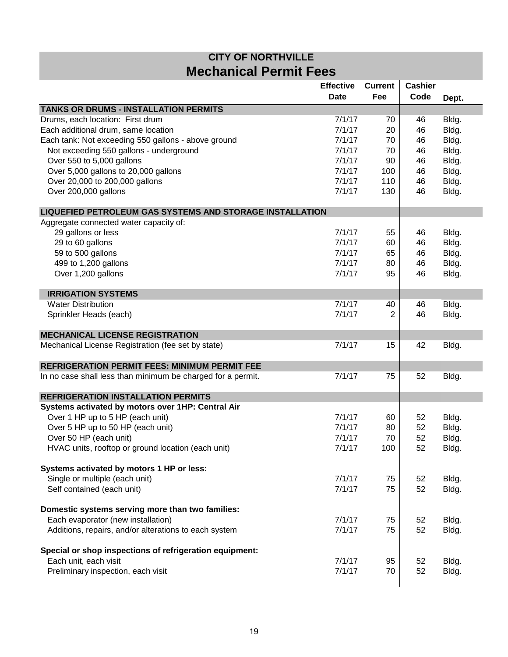## **Mechanical Permit Fees CITY OF NORTHVILLE**

|                                                                 | <b>Effective</b><br><b>Date</b> | <b>Current</b><br>Fee | <b>Cashier</b><br>Code | Dept. |
|-----------------------------------------------------------------|---------------------------------|-----------------------|------------------------|-------|
| <b>TANKS OR DRUMS - INSTALLATION PERMITS</b>                    |                                 |                       |                        |       |
| Drums, each location: First drum                                | 7/1/17                          | 70                    | 46                     | Bldg. |
| Each additional drum, same location                             | 7/1/17                          | 20                    | 46                     | Bldg. |
| Each tank: Not exceeding 550 gallons - above ground             | 7/1/17                          | 70                    | 46                     | Bldg. |
| Not exceeding 550 gallons - underground                         | 7/1/17                          | 70                    | 46                     | Bldg. |
| Over 550 to 5,000 gallons                                       | 7/1/17                          | 90                    | 46                     | Bldg. |
| Over 5,000 gallons to 20,000 gallons                            | 7/1/17                          | 100                   | 46                     | Bldg. |
| Over 20,000 to 200,000 gallons                                  | 7/1/17                          | 110                   | 46                     | Bldg. |
| Over 200,000 gallons                                            | 7/1/17                          | 130                   | 46                     | Bldg. |
| <b>LIQUEFIED PETROLEUM GAS SYSTEMS AND STORAGE INSTALLATION</b> |                                 |                       |                        |       |
| Aggregate connected water capacity of:                          |                                 |                       |                        |       |
| 29 gallons or less                                              | 7/1/17                          | 55                    | 46                     | Bldg. |
| 29 to 60 gallons                                                | 7/1/17                          | 60                    | 46                     | Bldg. |
| 59 to 500 gallons                                               | 7/1/17                          | 65                    | 46                     | Bldg. |
| 499 to 1,200 gallons                                            | 7/1/17                          | 80                    | 46                     | Bldg. |
| Over 1,200 gallons                                              | 7/1/17                          | 95                    | 46                     | Bldg. |
| <b>IRRIGATION SYSTEMS</b>                                       |                                 |                       |                        |       |
| <b>Water Distribution</b>                                       | 7/1/17                          | 40                    | 46                     | Bldg. |
| Sprinkler Heads (each)                                          | 7/1/17                          | 2                     | 46                     | Bldg. |
| <b>MECHANICAL LICENSE REGISTRATION</b>                          |                                 |                       |                        |       |
| Mechanical License Registration (fee set by state)              | 7/1/17                          | 15                    | 42                     | Bldg. |
| <b>REFRIGERATION PERMIT FEES: MINIMUM PERMIT FEE</b>            |                                 |                       |                        |       |
| In no case shall less than minimum be charged for a permit.     | 7/1/17                          | 75                    | 52                     | Bldg. |
| <b>REFRIGERATION INSTALLATION PERMITS</b>                       |                                 |                       |                        |       |
| Systems activated by motors over 1HP: Central Air               |                                 |                       |                        |       |
| Over 1 HP up to 5 HP (each unit)                                | 7/1/17                          | 60                    | 52                     | Bldg. |
| Over 5 HP up to 50 HP (each unit)                               | 7/1/17                          | 80                    | 52                     | Bldg. |
| Over 50 HP (each unit)                                          | 7/1/17                          | 70                    | 52                     | Bldg. |
| HVAC units, rooftop or ground location (each unit)              | 7/1/17                          | 100                   | 52                     | Bldg. |
| Systems activated by motors 1 HP or less:                       |                                 |                       |                        |       |
| Single or multiple (each unit)                                  | 7/1/17                          | 75                    | 52                     | Bldg. |
| Self contained (each unit)                                      | 7/1/17                          | 75                    | 52                     | Bldg. |
| Domestic systems serving more than two families:                |                                 |                       |                        |       |
| Each evaporator (new installation)                              | 7/1/17                          | 75                    | 52                     | Bldg. |
| Additions, repairs, and/or alterations to each system           | 7/1/17                          | 75                    | 52                     | Bldg. |
| Special or shop inspections of refrigeration equipment:         |                                 |                       |                        |       |
| Each unit, each visit                                           | 7/1/17                          | 95                    | 52                     | Bldg. |
| Preliminary inspection, each visit                              | 7/1/17                          | 70                    | 52                     | Bldg. |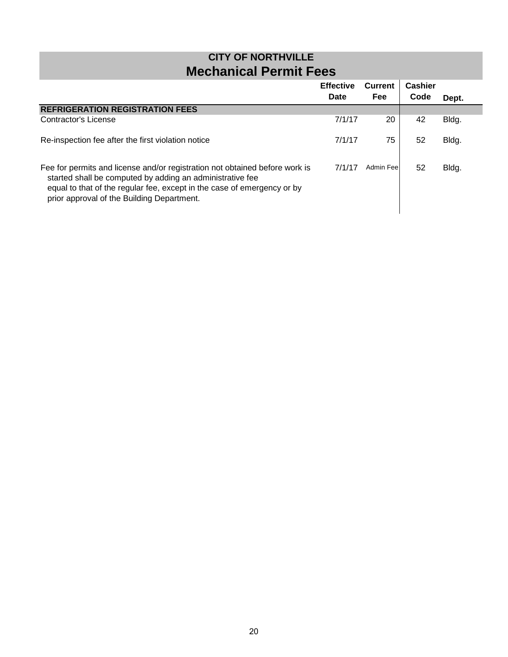| <b>CITY OF NORTHVILLE</b><br><b>Mechanical Permit Fees</b>                                                                                                                                                                                                        |                          |                              |                        |       |
|-------------------------------------------------------------------------------------------------------------------------------------------------------------------------------------------------------------------------------------------------------------------|--------------------------|------------------------------|------------------------|-------|
|                                                                                                                                                                                                                                                                   | <b>Effective</b><br>Date | <b>Current</b><br><b>Fee</b> | <b>Cashier</b><br>Code | Dept. |
| <b>REFRIGERATION REGISTRATION FEES</b>                                                                                                                                                                                                                            |                          |                              |                        |       |
| Contractor's License                                                                                                                                                                                                                                              | 7/1/17                   | 20                           | 42                     | Bldg. |
| Re-inspection fee after the first violation notice                                                                                                                                                                                                                | 7/1/17                   | 75                           | 52                     | Bldg. |
| Fee for permits and license and/or registration not obtained before work is<br>started shall be computed by adding an administrative fee<br>equal to that of the regular fee, except in the case of emergency or by<br>prior approval of the Building Department. | 7/1/17                   | Admin Feel                   | 52                     | Bldg. |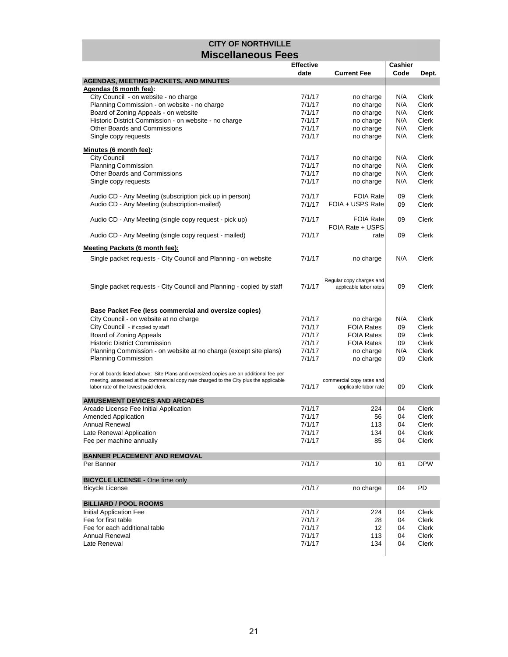|                                                                                        | <b>Effective</b> |                           | Cashier |              |
|----------------------------------------------------------------------------------------|------------------|---------------------------|---------|--------------|
|                                                                                        | date             | <b>Current Fee</b>        | Code    | Dept.        |
| <b>AGENDAS, MEETING PACKETS, AND MINUTES</b>                                           |                  |                           |         |              |
| Agendas (6 month fee):                                                                 |                  |                           |         |              |
| City Council - on website - no charge                                                  | 7/1/17           | no charge                 | N/A     | Clerk        |
| Planning Commission - on website - no charge                                           | 7/1/17           | no charge                 | N/A     | Clerk        |
| Board of Zoning Appeals - on website                                                   | 7/1/17           | no charge                 | N/A     | Clerk        |
| Historic District Commission - on website - no charge                                  | 7/1/17           | no charge                 | N/A     | Clerk        |
| Other Boards and Commissions                                                           | 7/1/17           | no charge                 | N/A     | Clerk        |
| Single copy requests                                                                   | 7/1/17           | no charge                 | N/A     | Clerk        |
|                                                                                        |                  |                           |         |              |
| Minutes (6 month fee):                                                                 |                  |                           |         |              |
| <b>City Council</b>                                                                    | 7/1/17           | no charge                 | N/A     | Clerk        |
| <b>Planning Commission</b>                                                             | 7/1/17           | no charge                 | N/A     | <b>Clerk</b> |
| Other Boards and Commissions                                                           | 7/1/17           | no charge                 | N/A     | Clerk        |
| Single copy requests                                                                   | 7/1/17           | no charge                 | N/A     | Clerk        |
|                                                                                        |                  |                           |         |              |
| Audio CD - Any Meeting (subscription pick up in person)                                | 7/1/17           | <b>FOIA Rate</b>          | 09      | Clerk        |
| Audio CD - Any Meeting (subscription-mailed)                                           | 7/1/17           | FOIA + USPS Rate          | 09      | Clerk        |
|                                                                                        |                  |                           |         |              |
| Audio CD - Any Meeting (single copy request - pick up)                                 | 7/1/17           | <b>FOIA Rate</b>          | 09      | Clerk        |
|                                                                                        |                  | FOIA Rate + USPS          |         |              |
| Audio CD - Any Meeting (single copy request - mailed)                                  | 7/1/17           | rate                      | 09      | Clerk        |
|                                                                                        |                  |                           |         |              |
| <b>Meeting Packets (6 month fee):</b>                                                  |                  |                           |         |              |
| Single packet requests - City Council and Planning - on website                        | 7/1/17           | no charge                 | N/A     | Clerk        |
|                                                                                        |                  |                           |         |              |
|                                                                                        |                  |                           |         |              |
|                                                                                        |                  | Regular copy charges and  |         |              |
| Single packet requests - City Council and Planning - copied by staff                   | 7/1/17           | applicable labor rates    | 09      | Clerk        |
|                                                                                        |                  |                           |         |              |
|                                                                                        |                  |                           |         |              |
| Base Packet Fee (less commercial and oversize copies)                                  |                  |                           |         |              |
| City Council - on website at no charge                                                 | 7/1/17           | no charge                 | N/A     | Clerk        |
| City Council - if copied by staff                                                      | 7/1/17           | <b>FOIA Rates</b>         | 09      | <b>Clerk</b> |
| Board of Zoning Appeals                                                                | 7/1/17           | <b>FOIA Rates</b>         | 09      | Clerk        |
| <b>Historic District Commission</b>                                                    | 7/1/17           | <b>FOIA Rates</b>         | 09      | Clerk        |
| Planning Commission - on website at no charge (except site plans)                      | 7/1/17           | no charge                 | N/A     | <b>Clerk</b> |
| <b>Planning Commission</b>                                                             | 7/1/17           | no charge                 | 09      | Clerk        |
|                                                                                        |                  |                           |         |              |
| For all boards listed above: Site Plans and oversized copies are an additional fee per |                  |                           |         |              |
| meeting, assessed at the commercial copy rate charged to the City plus the applicable  | 7/1/17           | commercial copy rates and | 09      | Clerk        |
| labor rate of the lowest paid clerk.                                                   |                  | applicable labor rate     |         |              |
| AMUSEMENT DEVICES AND ARCADES                                                          |                  |                           |         |              |
| Arcade License Fee Initial Application                                                 | 7/1/17           | 224                       | 04      | Clerk        |
| <b>Amended Application</b>                                                             | 7/1/17           | 56                        | 04      | <b>Clerk</b> |
| Annual Renewal                                                                         | 7/1/17           | 113                       | 04      | Clerk        |
| Late Renewal Application                                                               | 7/1/17           | 134                       | 04      | Clerk        |
| Fee per machine annually                                                               | 7/1/17           | 85                        | 04      | Clerk        |
|                                                                                        |                  |                           |         |              |
| <b>BANNER PLACEMENT AND REMOVAL</b>                                                    |                  |                           |         |              |
| Per Banner                                                                             | 7/1/17           | 10                        | 61      | <b>DPW</b>   |
|                                                                                        |                  |                           |         |              |
| <b>BICYCLE LICENSE - One time only</b>                                                 |                  |                           |         |              |
| <b>Bicycle License</b>                                                                 | 7/1/17           | no charge                 | 04      | PD           |
|                                                                                        |                  |                           |         |              |
| <b>BILLIARD / POOL ROOMS</b>                                                           |                  |                           |         |              |
| <b>Initial Application Fee</b>                                                         | 7/1/17           | 224                       | 04      | Clerk        |
| Fee for first table                                                                    | 7/1/17           |                           |         | Clerk        |
|                                                                                        |                  | 28                        | 04      |              |
| Fee for each additional table                                                          | 7/1/17           | 12                        | 04      | Clerk        |
| Annual Renewal                                                                         | 7/1/17           | 113                       | 04      | Clerk        |
| Late Renewal                                                                           | 7/1/17           | 134                       | 04      | Clerk        |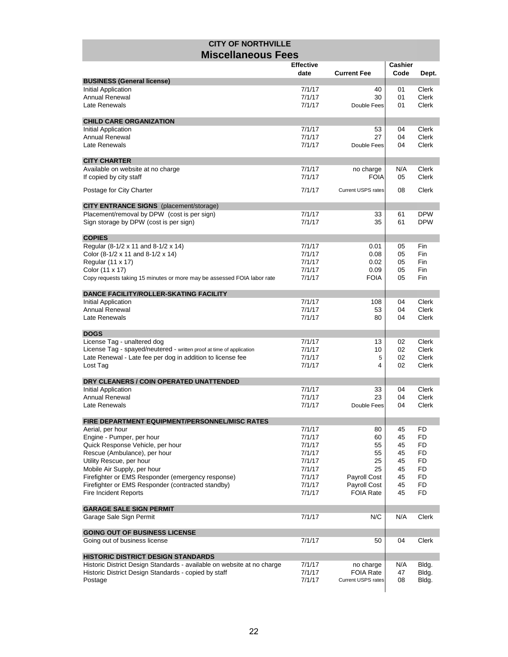| <b>CITY OF NORTHVILLE</b>                                                        |                  |                           |          |                              |
|----------------------------------------------------------------------------------|------------------|---------------------------|----------|------------------------------|
| <b>Miscellaneous Fees</b>                                                        |                  |                           |          |                              |
|                                                                                  | <b>Effective</b> |                           | Cashier  |                              |
|                                                                                  | date             | <b>Current Fee</b>        | Code     | Dept.                        |
| <b>BUSINESS (General license)</b>                                                |                  |                           |          |                              |
| Initial Application                                                              | 7/1/17           | 40                        | 01       | <b>Clerk</b>                 |
| <b>Annual Renewal</b><br>Late Renewals                                           | 7/1/17<br>7/1/17 | 30                        | 01<br>01 | <b>Clerk</b><br><b>Clerk</b> |
|                                                                                  |                  | Double Fees               |          |                              |
| <b>CHILD CARE ORGANIZATION</b>                                                   |                  |                           |          |                              |
| <b>Initial Application</b>                                                       | 7/1/17           | 53                        | 04       | <b>Clerk</b>                 |
| <b>Annual Renewal</b>                                                            | 7/1/17           | 27                        | 04       | <b>Clerk</b>                 |
| Late Renewals                                                                    | 7/1/17           | Double Fees               | 04       | <b>Clerk</b>                 |
| <b>CITY CHARTER</b>                                                              |                  |                           |          |                              |
| Available on website at no charge                                                | 7/1/17           | no charge                 | N/A      | <b>Clerk</b>                 |
| If copied by city staff                                                          | 7/1/17           | <b>FOIA</b>               | 05       | <b>Clerk</b>                 |
|                                                                                  |                  |                           |          |                              |
| Postage for City Charter                                                         | 7/1/17           | <b>Current USPS rates</b> | 08       | Clerk                        |
| <b>CITY ENTRANCE SIGNS</b> (placement/storage)                                   |                  |                           |          |                              |
| Placement/removal by DPW (cost is per sign)                                      | 7/1/17           | 33                        | 61       | <b>DPW</b>                   |
| Sign storage by DPW (cost is per sign)                                           | 7/1/17           | 35                        | 61       | <b>DPW</b>                   |
|                                                                                  |                  |                           |          |                              |
| <b>COPIES</b><br>Regular (8-1/2 x 11 and 8-1/2 x 14)                             | 7/1/17           |                           | 05       | Fin                          |
| Color (8-1/2 x 11 and 8-1/2 x 14)                                                | 7/1/17           | 0.01<br>0.08              | 05       | Fin                          |
| Regular (11 x 17)                                                                | 7/1/17           | 0.02                      | 05       | Fin                          |
| Color (11 x 17)                                                                  | 7/1/17           | 0.09                      | 05       | Fin                          |
| Copy requests taking 15 minutes or more may be assessed FOIA labor rate          | 7/1/17           | <b>FOIA</b>               | 05       | Fin                          |
|                                                                                  |                  |                           |          |                              |
| <b>DANCE FACILITY/ROLLER-SKATING FACILITY</b>                                    |                  |                           |          |                              |
| <b>Initial Application</b><br><b>Annual Renewal</b>                              | 7/1/17<br>7/1/17 | 108<br>53                 | 04<br>04 | <b>Clerk</b><br><b>Clerk</b> |
| Late Renewals                                                                    | 7/1/17           | 80                        | 04       | <b>Clerk</b>                 |
|                                                                                  |                  |                           |          |                              |
| <b>DOGS</b>                                                                      |                  |                           |          |                              |
| License Tag - unaltered dog                                                      | 7/1/17           | 13                        | 02       | Clerk                        |
| License Tag - spayed/neutered - written proof at time of application             | 7/1/17           | 10                        | 02       | <b>Clerk</b>                 |
| Late Renewal - Late fee per dog in addition to license fee<br>Lost Tag           | 7/1/17<br>7/1/17 | 5<br>4                    | 02<br>02 | <b>Clerk</b><br>Clerk        |
|                                                                                  |                  |                           |          |                              |
| DRY CLEANERS / COIN OPERATED UNATTENDED                                          |                  |                           |          |                              |
| <b>Initial Application</b>                                                       | 7/1/17           | 33                        | 04       | <b>Clerk</b>                 |
| <b>Annual Renewal</b>                                                            | 7/1/17           | 23                        | 04       | <b>Clerk</b>                 |
| Late Renewals                                                                    | 7/1/17           | Double Fees               | 04       | Clerk                        |
| FIRE DEPARTMENT EQUIPMENT/PERSONNEL/MISC RATES                                   |                  |                           |          |                              |
| Aerial, per hour                                                                 | 7/1/17           | 80                        | 45       | FD                           |
| Engine - Pumper, per hour                                                        | 7/1/17           | 60                        | 45       | FD                           |
| Quick Response Vehicle, per hour                                                 | 7/1/17           | 55                        | 45       | FD                           |
| Rescue (Ambulance), per hour                                                     | 7/1/17           | 55                        | 45       | FD                           |
| Utility Rescue, per hour                                                         | 7/1/17           | 25                        | 45       | FD                           |
| Mobile Air Supply, per hour<br>Firefighter or EMS Responder (emergency response) | 7/1/17<br>7/1/17 | 25<br>Payroll Cost        | 45<br>45 | FD<br>FD                     |
| Firefighter or EMS Responder (contracted standby)                                | 7/1/17           | Payroll Cost              | 45       | FD                           |
| Fire Incident Reports                                                            | 7/1/17           | <b>FOIA Rate</b>          | 45       | FD                           |
|                                                                                  |                  |                           |          |                              |
| <b>GARAGE SALE SIGN PERMIT</b>                                                   |                  |                           |          |                              |
| Garage Sale Sign Permit                                                          | 7/1/17           | N/C                       | N/A      | Clerk                        |
| <b>GOING OUT OF BUSINESS LICENSE</b>                                             |                  |                           |          |                              |
| Going out of business license                                                    | 7/1/17           | 50                        | 04       | Clerk                        |
|                                                                                  |                  |                           |          |                              |
| <b>HISTORIC DISTRICT DESIGN STANDARDS</b>                                        |                  |                           |          |                              |
| Historic District Design Standards - available on website at no charge           | 7/1/17           | no charge                 | N/A      | Bldg.                        |
| Historic District Design Standards - copied by staff                             | 7/1/17           | <b>FOIA Rate</b>          | 47       | Bldg.                        |
| Postage                                                                          | 7/1/17           | Current USPS rates        | 08       | Bldg.                        |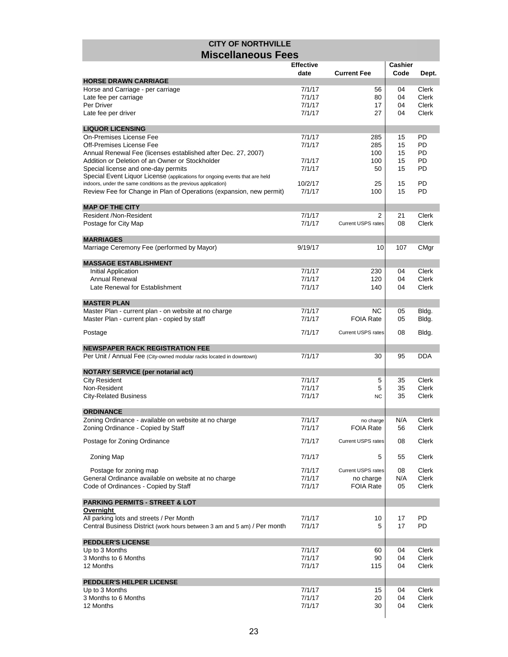|                                                                                                                                                | <b>Effective</b> |                           | Cashier  |                |
|------------------------------------------------------------------------------------------------------------------------------------------------|------------------|---------------------------|----------|----------------|
|                                                                                                                                                | date             | <b>Current Fee</b>        | Code     | Dept.          |
| <b>HORSE DRAWN CARRIAGE</b>                                                                                                                    |                  |                           |          |                |
| Horse and Carriage - per carriage                                                                                                              | 7/1/17           | 56                        | 04       | Clerk          |
| Late fee per carriage                                                                                                                          | 7/1/17           | 80                        | 04       | Clerk          |
| Per Driver                                                                                                                                     | 7/1/17           | 17                        | 04       | Clerk          |
| Late fee per driver                                                                                                                            | 7/1/17           | 27                        | 04       | Clerk          |
| <b>LIQUOR LICENSING</b>                                                                                                                        |                  |                           |          |                |
| On-Premises License Fee                                                                                                                        | 7/1/17           | 285                       | 15       | PD             |
| Off-Premises License Fee                                                                                                                       | 7/1/17           | 285                       | 15       | <b>PD</b>      |
| Annual Renewal Fee (licenses established after Dec. 27, 2007)                                                                                  |                  | 100                       | 15       | PD             |
| Addition or Deletion of an Owner or Stockholder                                                                                                | 7/1/17           | 100                       | 15       | PD             |
| Special license and one-day permits                                                                                                            | 7/1/17           | 50                        | 15       | PD             |
| Special Event Liquor License (applications for ongoing events that are held<br>indoors, under the same conditions as the previous application) | 10/2/17          |                           |          | PD             |
| Review Fee for Change in Plan of Operations (expansion, new permit)                                                                            | 7/1/17           | 25<br>100                 | 15<br>15 | PD             |
|                                                                                                                                                |                  |                           |          |                |
| <b>MAP OF THE CITY</b>                                                                                                                         |                  |                           |          |                |
| Resident /Non-Resident                                                                                                                         | 7/1/17           | 2                         | 21       | Clerk          |
| Postage for City Map                                                                                                                           | 7/1/17           | <b>Current USPS rates</b> | 08       | Clerk          |
| <b>MARRIAGES</b>                                                                                                                               |                  |                           |          |                |
| Marriage Ceremony Fee (performed by Mayor)                                                                                                     | 9/19/17          | 10                        | 107      | CMgr           |
| <b>MASSAGE ESTABLISHMENT</b>                                                                                                                   |                  |                           |          |                |
| Initial Application                                                                                                                            | 7/1/17           | 230                       | 04       | Clerk          |
| <b>Annual Renewal</b>                                                                                                                          | 7/1/17           | 120                       | 04       | Clerk          |
| Late Renewal for Establishment                                                                                                                 | 7/1/17           | 140                       | 04       | Clerk          |
|                                                                                                                                                |                  |                           |          |                |
| <b>MASTER PLAN</b>                                                                                                                             |                  |                           |          |                |
| Master Plan - current plan - on website at no charge<br>Master Plan - current plan - copied by staff                                           | 7/1/17<br>7/1/17 | ΝC<br><b>FOIA Rate</b>    | 05<br>05 | Bldg.<br>Bldg. |
|                                                                                                                                                | 7/1/17           |                           | 08       |                |
| Postage                                                                                                                                        |                  | <b>Current USPS rates</b> |          | Bldg.          |
| <b>NEWSPAPER RACK REGISTRATION FEE</b>                                                                                                         |                  |                           |          |                |
| Per Unit / Annual Fee (City-owned modular racks located in downtown)                                                                           | 7/1/17           | 30                        | 95       | <b>DDA</b>     |
| <b>NOTARY SERVICE (per notarial act)</b>                                                                                                       |                  |                           |          |                |
| <b>City Resident</b>                                                                                                                           | 7/1/17           | 5                         | 35       | Clerk          |
| Non-Resident                                                                                                                                   | 7/1/17           | 5                         | 35       | Clerk          |
| <b>City-Related Business</b>                                                                                                                   | 7/1/17           | <b>NC</b>                 | 35       | Clerk          |
| <b>ORDINANCE</b>                                                                                                                               |                  |                           |          |                |
| Zoning Ordinance - available on website at no charge                                                                                           | 7/1/17           | no charge                 | N/A      | Clerk          |
| Zoning Ordinance - Copied by Staff                                                                                                             | 7/1/17           | <b>FOIA Rate</b>          | 56       | Clerk          |
| Postage for Zoning Ordinance                                                                                                                   | 7/1/17           | <b>Current USPS rates</b> | 08       | Clerk          |
| <b>Zoning Map</b>                                                                                                                              | 7/1/17           | 5                         | 55       | Clerk          |
| Postage for zoning map                                                                                                                         | 7/1/17           | <b>Current USPS rates</b> | 08       | Clerk          |
| General Ordinance available on website at no charge                                                                                            | 7/1/17           | no charge                 | N/A      | Clerk          |
| Code of Ordinances - Copied by Staff                                                                                                           | 7/1/17           | <b>FOIA Rate</b>          | 05       | Clerk          |
|                                                                                                                                                |                  |                           |          |                |
| <b>PARKING PERMITS - STREET &amp; LOT</b><br><u>Overnight</u>                                                                                  |                  |                           |          |                |
| All parking lots and streets / Per Month                                                                                                       | 7/1/17           | 10                        | 17       | PD             |
| Central Business District (work hours between 3 am and 5 am) / Per month                                                                       | 7/1/17           | 5                         | 17       | PD             |
|                                                                                                                                                |                  |                           |          |                |
| <b>PEDDLER'S LICENSE</b>                                                                                                                       |                  |                           |          |                |
| Up to 3 Months                                                                                                                                 | 7/1/17           | 60                        | 04       | Clerk          |
| 3 Months to 6 Months                                                                                                                           | 7/1/17           | 90                        | 04       | Clerk          |
| 12 Months                                                                                                                                      | 7/1/17           | 115                       | 04       | Clerk          |
| PEDDLER'S HELPER LICENSE                                                                                                                       |                  |                           |          |                |
| Up to 3 Months                                                                                                                                 | 7/1/17           | 15                        | 04       | Clerk          |
| 3 Months to 6 Months                                                                                                                           | 7/1/17           | 20                        | 04       | Clerk          |
| 12 Months                                                                                                                                      | 7/1/17           | 30                        | 04       | Clerk          |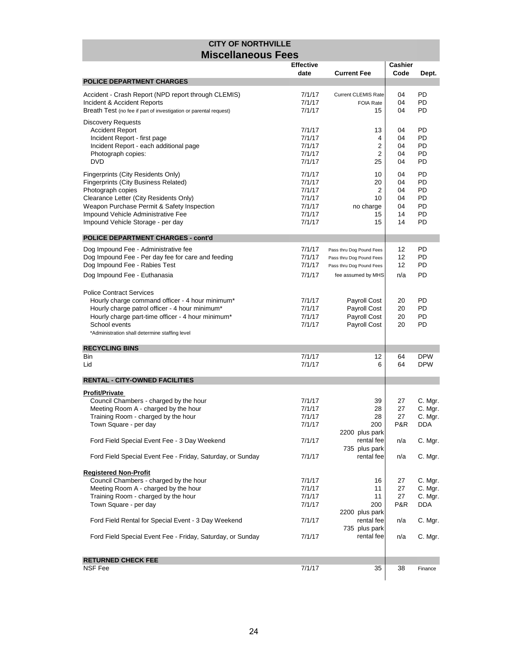|                                                                   | <b>Effective</b> |                            | Cashier |            |
|-------------------------------------------------------------------|------------------|----------------------------|---------|------------|
|                                                                   | date             | <b>Current Fee</b>         | Code    | Dept.      |
| <b>POLICE DEPARTMENT CHARGES</b>                                  |                  |                            |         |            |
| Accident - Crash Report (NPD report through CLEMIS)               | 7/1/17           | <b>Current CLEMIS Rate</b> | 04      | PD         |
| Incident & Accident Reports                                       | 7/1/17           | <b>FOIA Rate</b>           | 04      | PD         |
| Breath Test (no fee if part of investigation or parental request) | 7/1/17           | 15                         | 04      | PD         |
|                                                                   |                  |                            |         |            |
| <b>Discovery Requests</b>                                         |                  |                            |         |            |
| <b>Accident Report</b>                                            | 7/1/17           | 13                         | 04      | PD         |
| Incident Report - first page                                      | 7/1/17           | 4                          | 04      | PD         |
| Incident Report - each additional page                            | 7/1/17           | 2                          | 04      | PD         |
| Photograph copies:                                                | 7/1/17           | 2                          | 04      | PD         |
| <b>DVD</b>                                                        | 7/1/17           | 25                         | 04      | PD         |
| Fingerprints (City Residents Only)                                | 7/1/17           | 10                         | 04      | PD         |
| <b>Fingerprints (City Business Related)</b>                       | 7/1/17           | 20                         | 04      | PD         |
| Photograph copies                                                 | 7/1/17           | 2                          | 04      | PD         |
| Clearance Letter (City Residents Only)                            | 7/1/17           | 10                         | 04      | PD         |
| Weapon Purchase Permit & Safety Inspection                        | 7/1/17           | no charge                  | 04      | PD         |
| Impound Vehicle Administrative Fee                                | 7/1/17           | 15                         | 14      | PD         |
| Impound Vehicle Storage - per day                                 | 7/1/17           | 15                         | 14      | PD         |
|                                                                   |                  |                            |         |            |
| <b>POLICE DEPARTMENT CHARGES - cont'd</b>                         |                  |                            |         |            |
| Dog Impound Fee - Administrative fee                              | 7/1/17           | Pass thru Dog Pound Fees   | 12      | PD         |
| Dog Impound Fee - Per day fee for care and feeding                | 7/1/17           | Pass thru Dog Pound Fees   | 12      | PD         |
| Dog Impound Fee - Rabies Test                                     | 7/1/17           | Pass thru Dog Pound Fees   | 12      | PD         |
|                                                                   | 7/1/17           |                            | n/a     | PD         |
| Dog Impound Fee - Euthanasia                                      |                  | fee assumed by MHS         |         |            |
| <b>Police Contract Services</b>                                   |                  |                            |         |            |
| Hourly charge command officer - 4 hour minimum*                   | 7/1/17           | Payroll Cost               | 20      | PD         |
| Hourly charge patrol officer - 4 hour minimum*                    | 7/1/17           | Payroll Cost               | 20      | PD         |
| Hourly charge part-time officer - 4 hour minimum*                 | 7/1/17           | Payroll Cost               | 20      | PD         |
| School events                                                     | 7/1/17           | Payroll Cost               | 20      | PD         |
|                                                                   |                  |                            |         |            |
| *Administration shall determine staffing level                    |                  |                            |         |            |
| <b>RECYCLING BINS</b>                                             |                  |                            |         |            |
| Bin                                                               | 7/1/17           | 12                         | 64      | <b>DPW</b> |
| Lid                                                               | 7/1/17           | 6                          | 64      | <b>DPW</b> |
|                                                                   |                  |                            |         |            |
| <b>RENTAL - CITY-OWNED FACILITIES</b>                             |                  |                            |         |            |
| <b>Profit/Private</b>                                             |                  |                            |         |            |
| Council Chambers - charged by the hour                            | 7/1/17           | 39                         | 27      | C. Mgr.    |
| Meeting Room A - charged by the hour                              | 7/1/17           | 28                         | 27      | C. Mgr.    |
| Training Room - charged by the hour                               | 7/1/17           | 28                         | 27      | C. Mgr.    |
| Town Square - per day                                             | 7/1/17           | 200                        | P&R     | <b>DDA</b> |
|                                                                   |                  | 2200 plus park             |         |            |
| Ford Field Special Event Fee - 3 Day Weekend                      | 7/1/17           | rental fee                 | n/a     | C. Mgr.    |
|                                                                   |                  | 735 plus park              |         |            |
| Ford Field Special Event Fee - Friday, Saturday, or Sunday        | 7/1/17           | rental fee                 | n/a     | C. Mgr.    |
|                                                                   |                  |                            |         |            |
| <b>Registered Non-Profit</b>                                      |                  |                            |         |            |
| Council Chambers - charged by the hour                            | 7/1/17           | 16                         | 27      | C. Mgr.    |
| Meeting Room A - charged by the hour                              | 7/1/17           | 11                         | 27      | C. Mgr.    |
| Training Room - charged by the hour                               | 7/1/17           | 11                         | 27      | C. Mgr.    |
| Town Square - per day                                             | 7/1/17           | 200                        | P&R     | <b>DDA</b> |
|                                                                   |                  | 2200 plus park             |         |            |
| Ford Field Rental for Special Event - 3 Day Weekend               | 7/1/17           | rental fee                 | n/a     | C. Mgr.    |
|                                                                   |                  | 735 plus park              |         |            |
| Ford Field Special Event Fee - Friday, Saturday, or Sunday        | 7/1/17           | rental fee                 | n/a     | C. Mgr.    |
|                                                                   |                  |                            |         |            |
| <b>RETURNED CHECK FEE</b>                                         |                  |                            |         |            |
| NSF Fee                                                           | 7/1/17           | 35                         | 38      | Finance    |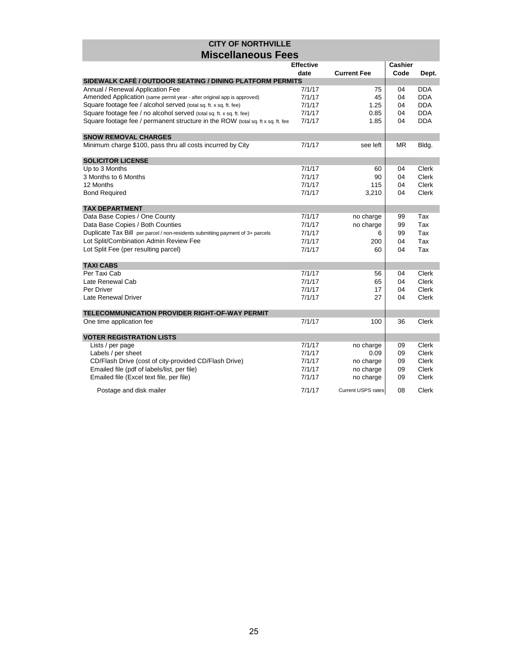|                                                                                 | <b>Effective</b> |                           |      | <b>Cashier</b> |  |
|---------------------------------------------------------------------------------|------------------|---------------------------|------|----------------|--|
|                                                                                 | date             | <b>Current Fee</b>        | Code | Dept.          |  |
| SIDEWALK CAFÉ / OUTDOOR SEATING / DINING PLATFORM PERMITS                       |                  |                           |      |                |  |
| Annual / Renewal Application Fee                                                | 7/1/17           | 75                        | 04   | <b>DDA</b>     |  |
| Amended Application (same permit year - after original app is approved)         | 7/1/17           | 45                        | 04   | <b>DDA</b>     |  |
| Square footage fee / alcohol served (total sq. ft. x sq. ft. fee)               | 7/1/17           | 1.25                      | 04   | <b>DDA</b>     |  |
| Square footage fee / no alcohol served (total sq. ft. x sq. ft. fee)            | 7/1/17           | 0.85                      | 04   | <b>DDA</b>     |  |
| Square footage fee / permanent structure in the ROW (total sq. ft x sq. ft. fee | 7/1/17           | 1.85                      | 04   | <b>DDA</b>     |  |
| <b>SNOW REMOVAL CHARGES</b>                                                     |                  |                           |      |                |  |
| Minimum charge \$100, pass thru all costs incurred by City                      | 7/1/17           | see left                  | MR.  | Bldg.          |  |
| <b>SOLICITOR LICENSE</b>                                                        |                  |                           |      |                |  |
| Up to 3 Months                                                                  | 7/1/17           | 60                        | 04   | Clerk          |  |
| 3 Months to 6 Months                                                            | 7/1/17           | 90                        | 04   | Clerk          |  |
| 12 Months                                                                       | 7/1/17           | 115                       | 04   | Clerk          |  |
| <b>Bond Required</b>                                                            | 7/1/17           | 3,210                     | 04   | Clerk          |  |
| <b>TAX DEPARTMENT</b>                                                           |                  |                           |      |                |  |
| Data Base Copies / One County                                                   | 7/1/17           | no charge                 | 99   | Tax            |  |
| Data Base Copies / Both Counties                                                | 7/1/17           | no charge                 | 99   | Tax            |  |
| Duplicate Tax Bill per parcel / non-residents submitting payment of 3+ parcels  | 7/1/17           | 6                         | 99   | Tax            |  |
| Lot Split/Combination Admin Review Fee                                          | 7/1/17           | 200                       | 04   | Tax            |  |
| Lot Split Fee (per resulting parcel)                                            | 7/1/17           | 60                        | 04   | Tax            |  |
| <b>TAXI CABS</b>                                                                |                  |                           |      |                |  |
| Per Taxi Cab                                                                    | 7/1/17           | 56                        | 04   | Clerk          |  |
| Late Renewal Cab                                                                | 7/1/17           | 65                        | 04   | Clerk          |  |
| Per Driver                                                                      | 7/1/17           | 17                        | 04   | Clerk          |  |
| Late Renewal Driver                                                             | 7/1/17           | 27                        | 04   | Clerk          |  |
| TELECOMMUNICATION PROVIDER RIGHT-OF-WAY PERMIT                                  |                  |                           |      |                |  |
| One time application fee                                                        | 7/1/17           | 100                       | 36   | Clerk          |  |
| <b>VOTER REGISTRATION LISTS</b>                                                 |                  |                           |      |                |  |
| Lists / per page                                                                | 7/1/17           | no charge                 | 09   | Clerk          |  |
| Labels / per sheet                                                              | 7/1/17           | 0.09                      | 09   | Clerk          |  |
| CD/Flash Drive (cost of city-provided CD/Flash Drive)                           | 7/1/17           | no charge                 | 09   | Clerk          |  |
| Emailed file (pdf of labels/list, per file)                                     | 7/1/17           | no charge                 | 09   | Clerk          |  |
| Emailed file (Excel text file, per file)                                        | 7/1/17           | no charge                 | 09   | Clerk          |  |
| Postage and disk mailer                                                         | 7/1/17           | <b>Current USPS rates</b> | 08   | Clerk          |  |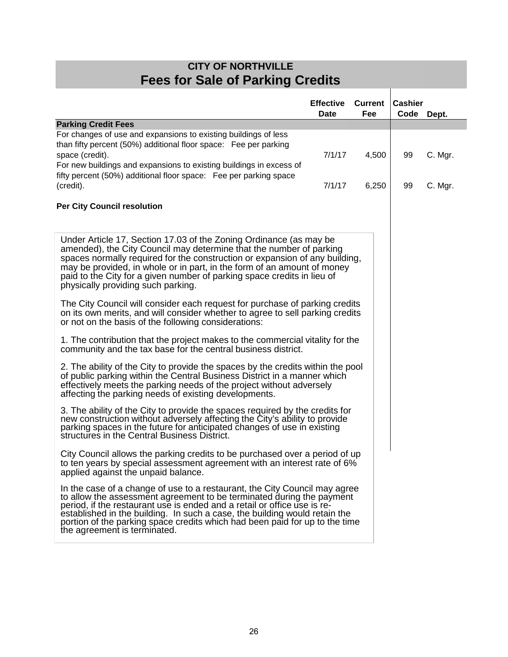| <b>CITY OF NORTHVILLE</b>                                                                                                                                                                                                                                                                                                                                                                                                    |                                 |                       |                              |         |  |
|------------------------------------------------------------------------------------------------------------------------------------------------------------------------------------------------------------------------------------------------------------------------------------------------------------------------------------------------------------------------------------------------------------------------------|---------------------------------|-----------------------|------------------------------|---------|--|
| <b>Fees for Sale of Parking Credits</b>                                                                                                                                                                                                                                                                                                                                                                                      |                                 |                       |                              |         |  |
|                                                                                                                                                                                                                                                                                                                                                                                                                              | <b>Effective</b><br><b>Date</b> | <b>Current</b><br>Fee | <b>Cashier</b><br>Code Dept. |         |  |
| <b>Parking Credit Fees</b>                                                                                                                                                                                                                                                                                                                                                                                                   |                                 |                       |                              |         |  |
| For changes of use and expansions to existing buildings of less<br>than fifty percent (50%) additional floor space: Fee per parking<br>space (credit).<br>For new buildings and expansions to existing buildings in excess of<br>fifty percent (50%) additional floor space: Fee per parking space                                                                                                                           | 7/1/17                          | 4,500                 | 99                           | C. Mgr. |  |
| (credit).                                                                                                                                                                                                                                                                                                                                                                                                                    | 7/1/17                          | 6,250                 | 99                           | C. Mgr. |  |
| <b>Per City Council resolution</b>                                                                                                                                                                                                                                                                                                                                                                                           |                                 |                       |                              |         |  |
| Under Article 17, Section 17.03 of the Zoning Ordinance (as may be<br>amended), the City Council may determine that the number of parking<br>spaces normally required for the construction or expansion of any building,<br>may be provided, in whole or in part, in the form of an amount of money<br>paid to the City for a given number of parking space credits in lieu of<br>physically providing such parking.         |                                 |                       |                              |         |  |
| The City Council will consider each request for purchase of parking credits<br>on its own merits, and will consider whether to agree to sell parking credits<br>or not on the basis of the following considerations:                                                                                                                                                                                                         |                                 |                       |                              |         |  |
| 1. The contribution that the project makes to the commercial vitality for the<br>community and the tax base for the central business district.                                                                                                                                                                                                                                                                               |                                 |                       |                              |         |  |
| 2. The ability of the City to provide the spaces by the credits within the pool<br>of public parking within the Central Business District in a manner which<br>effectively meets the parking needs of the project without adversely<br>affecting the parking needs of existing developments.                                                                                                                                 |                                 |                       |                              |         |  |
| 3. The ability of the City to provide the spaces required by the credits for<br>new construction without adversely affecting the City's ability to provide<br>parking spaces in the future for anticipated changes of use in existing<br>structures in the Central Business District.                                                                                                                                        |                                 |                       |                              |         |  |
| City Council allows the parking credits to be purchased over a period of up<br>to ten years by special assessment agreement with an interest rate of 6%<br>applied against the unpaid balance.                                                                                                                                                                                                                               |                                 |                       |                              |         |  |
| In the case of a change of use to a restaurant, the City Council may agree<br>to allow the assessment agreement to be terminated during the payment<br>period, if the restaurant use is ended and a retail or office use is re-<br>established in the building. In such a case, the building would retain the<br>portion of the parking space credits which had been paid for up to the time<br>the agreement is terminated. |                                 |                       |                              |         |  |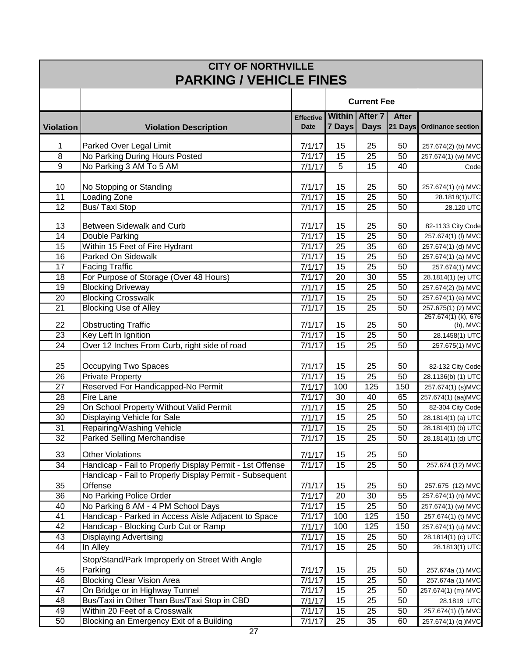| <b>CITY OF NORTHVILLE</b><br><b>PARKING / VEHICLE FINES</b> |                                                                                     |                                 |                       |                                      |           |                                         |
|-------------------------------------------------------------|-------------------------------------------------------------------------------------|---------------------------------|-----------------------|--------------------------------------|-----------|-----------------------------------------|
|                                                             |                                                                                     |                                 |                       | <b>Current Fee</b>                   |           |                                         |
| <b>Violation</b>                                            | <b>Violation Description</b>                                                        | <b>Effective</b><br><b>Date</b> | 7 Days                | <b>Within After 7</b><br><b>Days</b> | After     | 21 Days Ordinance section               |
| 1                                                           | Parked Over Legal Limit                                                             | 7/1/17                          | 15                    | 25                                   | 50        | 257.674(2) (b) MVC                      |
| 8                                                           | No Parking During Hours Posted                                                      | 7/1/17                          | $\overline{15}$       | 25                                   | 50        | 257.674(1) (w) MVC                      |
| $\overline{9}$                                              | No Parking 3 AM To 5 AM                                                             | 7/1/17                          | $\overline{5}$        | $\overline{15}$                      | 40        | Code                                    |
|                                                             |                                                                                     |                                 |                       |                                      |           |                                         |
| 10                                                          | No Stopping or Standing                                                             | 7/1/17                          | 15                    | 25                                   | 50        | 257.674(1) (n) MVC                      |
| $\overline{11}$                                             | <b>Loading Zone</b>                                                                 | 7/1/17                          | $\overline{15}$       | $\overline{25}$                      | 50        | 28.1818(1)UTC                           |
| $\overline{12}$                                             | <b>Bus/ Taxi Stop</b>                                                               | 7/1/17                          | 15                    | 25                                   | 50        | 28.120 UTC                              |
| 13                                                          | Between Sidewalk and Curb                                                           | 7/1/17                          | 15                    | 25                                   | 50        | 82-1133 City Code                       |
| 14                                                          | <b>Double Parking</b>                                                               | 7/1/17                          | 15                    | $\overline{25}$                      | 50        | 257.674(1) (I) MVC                      |
| $\overline{15}$                                             | Within 15 Feet of Fire Hydrant                                                      | 7/1/17                          | $\overline{25}$       | 35                                   | 60        | 257.674(1) (d) MVC                      |
| 16                                                          | Parked On Sidewalk                                                                  | 7/1/17                          | 15                    | 25                                   | 50        | 257.674(1) (a) MVC                      |
| 17                                                          | <b>Facing Traffic</b>                                                               | 7/1/17                          | 15                    | 25                                   | 50        | 257.674(1) MVC                          |
| 18                                                          | For Purpose of Storage (Over 48 Hours)                                              | 7/1/17                          | 20                    | 30                                   | 55        | 28.1814(1) (e) UTC                      |
| 19                                                          | <b>Blocking Driveway</b>                                                            | 7/1/17                          | 15                    | 25                                   | 50        | 257.674(2) (b) MVC                      |
| 20                                                          | <b>Blocking Crosswalk</b>                                                           | 7/1/17                          | 15                    | 25                                   | 50        | 257.674(1) (e) MVC                      |
| $\overline{21}$                                             | <b>Blocking Use of Alley</b>                                                        | 7/1/17                          | 15                    | 25                                   | 50        | 257.675(1) (z) MVC                      |
| 22                                                          | <b>Obstructing Traffic</b>                                                          | 7/1/17                          | 15                    | 25                                   | 50        | 257.674(1) (k), 676<br>$(b)$ , MVC      |
| $\overline{23}$                                             | Key Left In Ignition                                                                | 7/1/17                          | $\overline{15}$       | $\overline{25}$                      | 50        | $28.1458(1)$ UTC                        |
| 24                                                          | Over 12 Inches From Curb, right side of road                                        | 7/1/17                          | 15                    | $\overline{25}$                      | 50        | 257.675(1) MVC                          |
|                                                             |                                                                                     |                                 |                       |                                      |           |                                         |
| 25                                                          | Occupying Two Spaces                                                                | 7/1/17                          | 15                    | 25                                   | 50        | 82-132 City Code                        |
| 26<br>$\overline{27}$                                       | <b>Private Property</b><br>Reserved For Handicapped-No Permit                       | 7/1/17<br>7/1/17                | 15<br>100             | 25<br>125                            | 50<br>150 | 28.1136(b) (1) UTC                      |
| $\overline{28}$                                             | Fire Lane                                                                           | 7/1/17                          | 30                    | 40                                   | 65        | 257.674(1) (s)MVC<br>257.674(1) (aa)MVC |
| 29                                                          | On School Property Without Valid Permit                                             | 7/1/17                          | $\overline{15}$       | 25                                   | 50        | 82-304 City Code                        |
| 30                                                          | Displaying Vehicle for Sale                                                         | 7/1/17                          | $\overline{15}$       | 25                                   | 50        | 28.1814(1) (a) UTC                      |
| 31                                                          | Repairing/Washing Vehicle                                                           | 7/1/17                          | 15                    | $\overline{25}$                      | 50        | 28.1814(1) (b) UTC                      |
| 32                                                          | Parked Selling Merchandise                                                          | 7/1/17                          | 15                    | 25                                   | 50        | 28.1814(1) (d) UTC                      |
|                                                             |                                                                                     |                                 |                       |                                      |           |                                         |
| 33<br>$\overline{34}$                                       | <b>Other Violations</b><br>Handicap - Fail to Properly Display Permit - 1st Offense | 7/1/17<br>7/1/17                | 15<br>$\overline{15}$ | 25<br>25                             | 50<br>50  | 257.674 (12) MVC                        |
|                                                             | Handicap - Fail to Properly Display Permit - Subsequent                             |                                 |                       |                                      |           |                                         |
| 35                                                          | Offense                                                                             | 7/1/17                          | 15                    | 25                                   | 50        | 257.675 (12) MVC                        |
| $\overline{36}$                                             | No Parking Police Order                                                             | 7/1/17                          | 20                    | 30                                   | 55        | 257.674(1) (n) MVC                      |
| 40                                                          | No Parking 8 AM - 4 PM School Days                                                  | 7/1/17                          | 15                    | 25                                   | 50        | 257.674(1) (w) MVC                      |
| 41                                                          | Handicap - Parked in Access Aisle Adjacent to Space                                 | 7/1/17                          | 100                   | 125                                  | 150       | 257.674(1) (t) MVC                      |
| 42                                                          | Handicap - Blocking Curb Cut or Ramp                                                | 7/1/17                          | 100                   | 125                                  | 150       | 257.674(1) (u) MVC                      |
| 43                                                          | <b>Displaying Advertising</b>                                                       | 7/1/17                          | 15                    | 25                                   | 50        | 28.1814(1) (c) UTC                      |
| 44                                                          | In Alley                                                                            | 7/1/17                          | 15                    | 25                                   | 50        | 28.1813(1) UTC                          |
|                                                             | Stop/Stand/Park Improperly on Street With Angle                                     |                                 |                       |                                      |           |                                         |
| 45                                                          | Parking                                                                             | 7/1/17                          | 15                    | 25                                   | 50        | 257.674a (1) MVC                        |
| 46                                                          | <b>Blocking Clear Vision Area</b>                                                   | 7/1/17                          | 15                    | 25                                   | 50        | 257.674a (1) MVC                        |
| 47                                                          | On Bridge or in Highway Tunnel                                                      | 7/1/17                          | 15                    | 25                                   | 50        | 257.674(1) (m) MVC                      |
| 48                                                          | Bus/Taxi in Other Than Bus/Taxi Stop in CBD                                         | 7/1/17                          | 15                    | 25                                   | 50        | 28.1819 UTC                             |
| 49                                                          | Within 20 Feet of a Crosswalk                                                       | 7/1/17                          | 15                    | 25                                   | 50        | 257.674(1) (f) MVC                      |
| 50                                                          | Blocking an Emergency Exit of a Building                                            | 7/1/17                          | 25                    | 35                                   | 60        | 257.674(1) (q) MVC                      |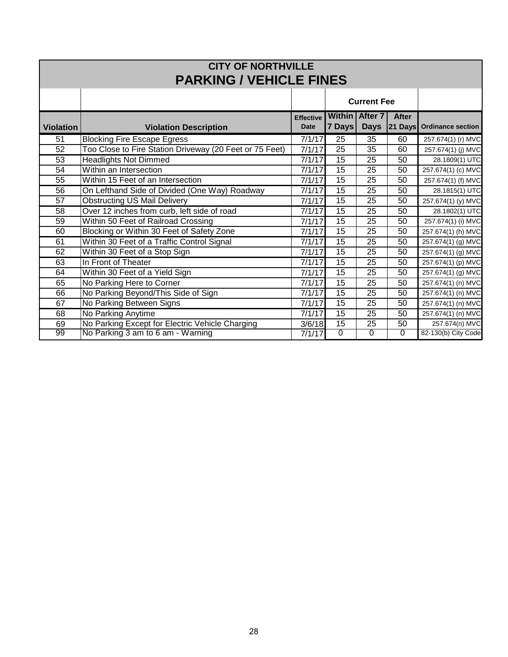|                  |                                                         |                  |                 |                       |                | <b>CITY OF NORTHVILLE</b> |  |  |  |  |  |
|------------------|---------------------------------------------------------|------------------|-----------------|-----------------------|----------------|---------------------------|--|--|--|--|--|
|                  |                                                         |                  |                 |                       |                |                           |  |  |  |  |  |
|                  | <b>PARKING / VEHICLE FINES</b>                          |                  |                 |                       |                |                           |  |  |  |  |  |
|                  |                                                         |                  |                 | <b>Current Fee</b>    |                |                           |  |  |  |  |  |
|                  |                                                         |                  |                 |                       |                |                           |  |  |  |  |  |
|                  |                                                         | <b>Effective</b> |                 | <b>Within After 7</b> | After          |                           |  |  |  |  |  |
| <b>Violation</b> | <b>Violation Description</b>                            | <b>Date</b>      | 7 Days          | <b>Days</b>           |                | 21 Days Ordinance section |  |  |  |  |  |
| 51               | <b>Blocking Fire Escape Egress</b>                      | 7/1/17           | 25              | 35                    | 60             | 257.674(1) (r) MVC        |  |  |  |  |  |
| 52               | Too Close to Fire Station Driveway (20 Feet or 75 Feet) | 7/1/17           | $\overline{25}$ | 35                    | 60             | 257.674(1) (j) MVC        |  |  |  |  |  |
| 53               | <b>Headlights Not Dimmed</b>                            | 7/1/17           | $\overline{15}$ | 25                    | 50             | 28.1809(1) UTC            |  |  |  |  |  |
| 54               | Within an Intersection                                  | 7/1/17           | 15              | 25                    | 50             | 257.674(1) (c) MVC        |  |  |  |  |  |
| 55               | Within 15 Feet of an Intersection                       | 7/1/17           | 15              | 25                    | 50             | 257.674(1) (f) MVC        |  |  |  |  |  |
| $\overline{56}$  | On Lefthand Side of Divided (One Way) Roadway           | 7/1/17           | $\overline{15}$ | $\overline{25}$       | 50             | 28.1815(1) UTC            |  |  |  |  |  |
| 57               | <b>Obstructing US Mail Delivery</b>                     | 7/1/17           | 15              | 25                    | 50             | 257.674(1) (y) MVC        |  |  |  |  |  |
| 58               | Over 12 inches from curb, left side of road             | 7/1/17           | 15              | 25                    | 50             | 28.1802(1) UTC            |  |  |  |  |  |
| 59               | Within 50 Feet of Railroad Crossing                     | 7/1/17           | 15              | 25                    | 50             | 257.674(1) (i) MVC        |  |  |  |  |  |
| 60               | Blocking or Within 30 Feet of Safety Zone               | 7/1/17           | 15              | 25                    | 50             | 257.674(1) (h) MVC        |  |  |  |  |  |
| 61               | Within 30 Feet of a Traffic Control Signal              | 7/1/17           | 15              | 25                    | 50             | 257.674(1) (g) MVC        |  |  |  |  |  |
| 62               | Within 30 Feet of a Stop Sign                           | 7/1/17           | 15              | 25                    | 50             | 257.674(1) (g) MVC        |  |  |  |  |  |
| 63               | In Front of Theater                                     | 7/1/17           | 15              | 25                    | 50             | 257.674(1) (p) MVC        |  |  |  |  |  |
| 64               | Within 30 Feet of a Yield Sign                          | 7/1/17           | 15              | 25                    | 50             | 257.674(1) (g) MVC        |  |  |  |  |  |
| 65               | No Parking Here to Corner                               | 7/1/17           | $\overline{15}$ | 25                    | 50             | 257.674(1) (n) MVC        |  |  |  |  |  |
| 66               | No Parking Beyond/This Side of Sign                     | 7/1/17           | $\overline{15}$ | 25                    | 50             | 257.674(1) (n) MVC        |  |  |  |  |  |
| 67               | No Parking Between Signs                                | 7/1/17           | 15              | 25                    | 50             | 257.674(1) (n) MVC        |  |  |  |  |  |
| 68               | No Parking Anytime                                      | 7/1/17           | $\overline{15}$ | 25                    | 50             | 257.674(1) (n) MVC        |  |  |  |  |  |
| 69               | No Parking Except for Electric Vehicle Charging         | 3/6/18           | $\overline{15}$ | 25                    | 50             | 257.674(n) MVC            |  |  |  |  |  |
| 99               | No Parking 3 am to 6 am - Warning                       | 7/1/17           | $\overline{0}$  | $\Omega$              | $\overline{0}$ | 82-130(b) City Code       |  |  |  |  |  |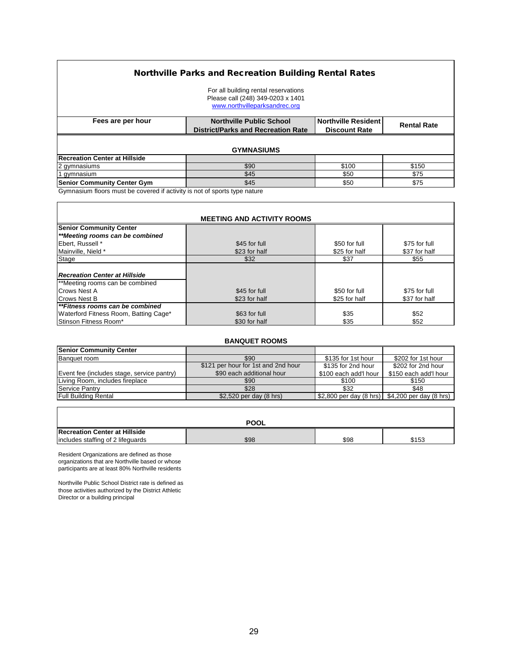#### Northville Parks and Recreation Building Rental Rates

|                                      | For all building rental reservations<br>Please call (248) 349-0203 x 1401<br>www.northvilleparksandrec.org |                      |                    |
|--------------------------------------|------------------------------------------------------------------------------------------------------------|----------------------|--------------------|
| Fees are per hour                    | <b>Northville Public School</b>                                                                            | Northville Resident  | <b>Rental Rate</b> |
|                                      | <b>District/Parks and Recreation Rate</b>                                                                  | <b>Discount Rate</b> |                    |
|                                      | <b>GYMNASIUMS</b>                                                                                          |                      |                    |
| <b>Recreation Center at Hillside</b> |                                                                                                            |                      |                    |
| 2 gymnasiums                         | \$90                                                                                                       | \$100                | \$150              |
| 1 gymnasium                          | \$45                                                                                                       | \$50                 | \$75               |
| <b>Senior Community Center Gym</b>   | \$45                                                                                                       | \$50                 | \$75               |

Gymnasium floors must be covered if activity is not of sports type nature

 $\mathsf{r}$ 

| <b>MEETING AND ACTIVITY ROOMS</b>     |               |               |               |  |  |
|---------------------------------------|---------------|---------------|---------------|--|--|
| <b>Senior Community Center</b>        |               |               |               |  |  |
| **Meeting rooms can be combined       |               |               |               |  |  |
| Ebert, Russell *                      | \$45 for full | \$50 for full | \$75 for full |  |  |
| Mainville, Nield *                    | \$23 for half | \$25 for half | \$37 for half |  |  |
| Stage                                 | \$32          | \$37          | \$55          |  |  |
|                                       |               |               |               |  |  |
| <b>Recreation Center at Hillside</b>  |               |               |               |  |  |
| **Meeting rooms can be combined       |               |               |               |  |  |
| Crows Nest A                          | \$45 for full | \$50 for full | \$75 for full |  |  |
| <b>Crows Nest B</b>                   | \$23 for half | \$25 for half | \$37 for half |  |  |
| **Fitness rooms can be combined       |               |               |               |  |  |
| Waterford Fitness Room, Batting Cage* | \$63 for full | \$35          | \$52          |  |  |
| Stinson Fitness Room*                 | \$30 for half | \$35          | \$52          |  |  |

٦

٦

| <b>BANQUET ROOMS</b>                       |                                     |                       |                                                                     |  |  |
|--------------------------------------------|-------------------------------------|-----------------------|---------------------------------------------------------------------|--|--|
| <b>Senior Community Center</b>             |                                     |                       |                                                                     |  |  |
| Banquet room                               | \$90                                | \$135 for 1st hour    | \$202 for 1st hour                                                  |  |  |
|                                            | \$121 per hour for 1st and 2nd hour | \$135 for 2nd hour    | \$202 for 2nd hour                                                  |  |  |
| Event fee (includes stage, service pantry) | \$90 each additional hour           | \$100 each add'l hour | \$150 each add'l hour                                               |  |  |
| Living Room, includes fireplace            | \$90                                | \$100                 | \$150                                                               |  |  |
| Service Pantry                             | \$28                                | \$32                  | \$48                                                                |  |  |
| Full Building Rental                       | \$2,520 per day (8 hrs)             |                       | \$2,800 per day $(8 \text{ hrs})$ \$4,200 per day $(8 \text{ hrs})$ |  |  |

|                                      | <b>POOL</b> |      |       |
|--------------------------------------|-------------|------|-------|
| <b>Recreation Center at Hillside</b> |             |      |       |
| includes staffing of 2 lifequards    | \$98        | \$98 | \$153 |

Resident Organizations are defined as those organizations that are Northville based or whose participants are at least 80% Northville residents

Northville Public School District rate is defined as those activities authorized by the District Athletic Director or a building principal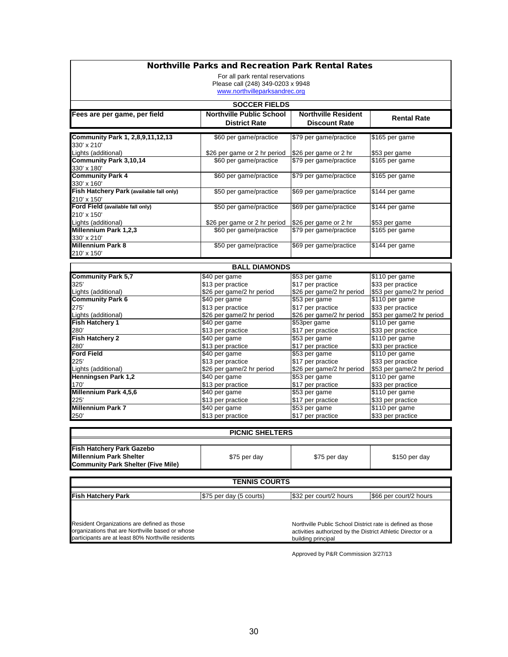| <b>Northville Parks and Recreation Park Rental Rates</b> |                                                |                                                              |                                                |  |  |
|----------------------------------------------------------|------------------------------------------------|--------------------------------------------------------------|------------------------------------------------|--|--|
|                                                          | For all park rental reservations               |                                                              |                                                |  |  |
|                                                          | Please call (248) 349-0203 x 9948              |                                                              |                                                |  |  |
|                                                          | www.northvilleparksandrec.org                  |                                                              |                                                |  |  |
|                                                          | <b>SOCCER FIELDS</b>                           |                                                              |                                                |  |  |
| Fees are per game, per field                             | <b>Northville Public School</b>                | <b>Northville Resident</b>                                   |                                                |  |  |
|                                                          | <b>District Rate</b>                           | <b>Discount Rate</b>                                         | <b>Rental Rate</b>                             |  |  |
| Community Park 1, 2,8,9,11,12,13                         | \$60 per game/practice                         | \$79 per game/practice                                       | \$165 per game                                 |  |  |
| 330' x 210'                                              |                                                |                                                              |                                                |  |  |
| Lights (additional)                                      | \$26 per game or 2 hr period                   | \$26 per game or 2 hr                                        | \$53 per game                                  |  |  |
| Community Park 3,10,14                                   | \$60 per game/practice                         | \$79 per game/practice                                       | \$165 per game                                 |  |  |
| 330' x 180'                                              |                                                |                                                              |                                                |  |  |
| <b>Community Park 4</b>                                  | \$60 per game/practice                         | \$79 per game/practice                                       | \$165 per game                                 |  |  |
| 330' x 160'<br>Fish Hatchery Park (available fall only)  | \$50 per game/practice                         | \$69 per game/practice                                       | \$144 per game                                 |  |  |
| 210' x 150'                                              |                                                |                                                              |                                                |  |  |
| Ford Field (available fall only)                         | \$50 per game/practice                         | \$69 per game/practice                                       | \$144 per game                                 |  |  |
| 210' x 150'                                              |                                                |                                                              |                                                |  |  |
| Lights (additional)                                      | \$26 per game or 2 hr period                   | \$26 per game or 2 hr                                        | \$53 per game                                  |  |  |
| <b>Millennium Park 1,2,3</b>                             | \$60 per game/practice                         | \$79 per game/practice                                       | \$165 per game                                 |  |  |
| 330' x 210'<br><b>Millennium Park 8</b>                  | \$50 per game/practice                         | \$69 per game/practice                                       | \$144 per game                                 |  |  |
| 210' x 150'                                              |                                                |                                                              |                                                |  |  |
|                                                          |                                                |                                                              |                                                |  |  |
|                                                          | <b>BALL DIAMONDS</b>                           |                                                              |                                                |  |  |
| <b>Community Park 5,7</b>                                | \$40 per game                                  | \$53 per game                                                | \$110 per game                                 |  |  |
| 325'<br>Lights (additional)                              | \$13 per practice<br>\$26 per game/2 hr period | \$17 per practice<br>\$26 per game/2 hr period               | \$33 per practice<br>\$53 per game/2 hr period |  |  |
| <b>Community Park 6</b>                                  | \$40 per game                                  | \$53 per game                                                | \$110 per game                                 |  |  |
| 275'                                                     | \$13 per practice                              | \$17 per practice                                            | \$33 per practice                              |  |  |
| Lights (additional)                                      | \$26 per game/2 hr period                      | \$26 per game/2 hr period                                    | \$53 per game/2 hr period                      |  |  |
| <b>Fish Hatchery 1</b>                                   | \$40 per game                                  | \$53per game                                                 | \$110 per game                                 |  |  |
| 280'                                                     | \$13 per practice                              | \$17 per practice                                            | \$33 per practice                              |  |  |
| Fish Hatchery 2<br>280'                                  | \$40 per game<br>\$13 per practice             | \$53 per game<br>\$17 per practice                           | \$110 per game<br>\$33 per practice            |  |  |
| <b>Ford Field</b>                                        | \$40 per game                                  | \$53 per game                                                | \$110 per game                                 |  |  |
| 225'                                                     | \$13 per practice                              | \$17 per practice                                            | \$33 per practice                              |  |  |
| Lights (additional)                                      | \$26 per game/2 hr period                      | \$26 per game/2 hr period                                    | \$53 per game/2 hr period                      |  |  |
| Henningsen Park 1,2                                      | \$40 per game                                  | \$53 per game                                                | \$110 per game                                 |  |  |
| 170'                                                     | \$13 per practice                              | \$17 per practice                                            | \$33 per practice                              |  |  |
| Millennium Park 4,5,6<br>225'                            | \$40 per game                                  | \$53 per game<br>\$17 per practice                           | \$110 per game<br>\$33 per practice            |  |  |
| <b>Millennium Park 7</b>                                 | \$13 per practice<br>\$40 per game             | \$53 per game                                                | \$110 per game                                 |  |  |
| 250'                                                     | \$13 per practice                              | \$17 per practice                                            | \$33 per practice                              |  |  |
|                                                          |                                                |                                                              |                                                |  |  |
|                                                          | PICNIC SHELTERS                                |                                                              |                                                |  |  |
|                                                          |                                                |                                                              |                                                |  |  |
| <b>Fish Hatchery Park Gazebo</b>                         |                                                |                                                              |                                                |  |  |
| <b>Millennium Park Shelter</b>                           | \$75 per day                                   | \$75 per day                                                 | \$150 per day                                  |  |  |
| <b>Community Park Shelter (Five Mile)</b>                |                                                |                                                              |                                                |  |  |
| <b>TENNIS COURTS</b>                                     |                                                |                                                              |                                                |  |  |
|                                                          |                                                |                                                              |                                                |  |  |
| Fish Hatchery Park                                       | \$75 per day (5 courts)                        | \$32 per court/2 hours                                       | \$66 per court/2 hours                         |  |  |
|                                                          |                                                |                                                              |                                                |  |  |
|                                                          |                                                |                                                              |                                                |  |  |
| Resident Organizations are defined as those              |                                                | Northville Public School District rate is defined as those   |                                                |  |  |
| organizations that are Northville based or whose         |                                                | activities authorized by the District Athletic Director or a |                                                |  |  |
| participants are at least 80% Northville residents       |                                                | building principal                                           |                                                |  |  |

Approved by P&R Commission 3/27/13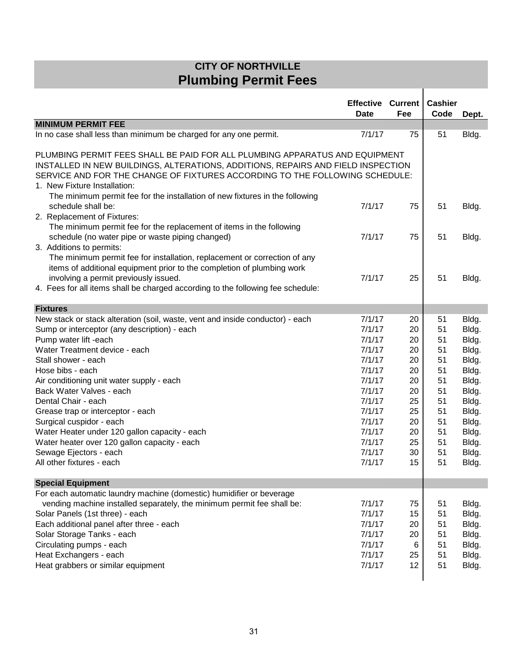## **CITY OF NORTHVILLE Plumbing Permit Fees**

|                                                                                                                                                                                                                                                                                                                                                                                                                                                                                                                                                             | <b>Effective Current</b><br><b>Date</b>                                                                                                            | Fee                                                                                    | <b>Cashier</b><br>Code                                                                 | Dept.                                                                                                                               |
|-------------------------------------------------------------------------------------------------------------------------------------------------------------------------------------------------------------------------------------------------------------------------------------------------------------------------------------------------------------------------------------------------------------------------------------------------------------------------------------------------------------------------------------------------------------|----------------------------------------------------------------------------------------------------------------------------------------------------|----------------------------------------------------------------------------------------|----------------------------------------------------------------------------------------|-------------------------------------------------------------------------------------------------------------------------------------|
| <b>MINIMUM PERMIT FEE</b>                                                                                                                                                                                                                                                                                                                                                                                                                                                                                                                                   |                                                                                                                                                    |                                                                                        |                                                                                        |                                                                                                                                     |
| In no case shall less than minimum be charged for any one permit.                                                                                                                                                                                                                                                                                                                                                                                                                                                                                           | 7/1/17                                                                                                                                             | 75                                                                                     | 51                                                                                     | Bldg.                                                                                                                               |
| PLUMBING PERMIT FEES SHALL BE PAID FOR ALL PLUMBING APPARATUS AND EQUIPMENT<br>INSTALLED IN NEW BUILDINGS, ALTERATIONS, ADDITIONS, REPAIRS AND FIELD INSPECTION<br>SERVICE AND FOR THE CHANGE OF FIXTURES ACCORDING TO THE FOLLOWING SCHEDULE:<br>1. New Fixture Installation:                                                                                                                                                                                                                                                                              |                                                                                                                                                    |                                                                                        |                                                                                        |                                                                                                                                     |
| The minimum permit fee for the installation of new fixtures in the following<br>schedule shall be:<br>2. Replacement of Fixtures:                                                                                                                                                                                                                                                                                                                                                                                                                           | 7/1/17                                                                                                                                             | 75                                                                                     | 51                                                                                     | Bldg.                                                                                                                               |
| The minimum permit fee for the replacement of items in the following<br>schedule (no water pipe or waste piping changed)<br>3. Additions to permits:                                                                                                                                                                                                                                                                                                                                                                                                        | 7/1/17                                                                                                                                             | 75                                                                                     | 51                                                                                     | Bldg.                                                                                                                               |
| The minimum permit fee for installation, replacement or correction of any<br>items of additional equipment prior to the completion of plumbing work<br>involving a permit previously issued.<br>4. Fees for all items shall be charged according to the following fee schedule:                                                                                                                                                                                                                                                                             | 7/1/17                                                                                                                                             | 25                                                                                     | 51                                                                                     | Bldg.                                                                                                                               |
| <b>Fixtures</b>                                                                                                                                                                                                                                                                                                                                                                                                                                                                                                                                             |                                                                                                                                                    |                                                                                        |                                                                                        |                                                                                                                                     |
| New stack or stack alteration (soil, waste, vent and inside conductor) - each<br>Sump or interceptor (any description) - each<br>Pump water lift -each<br>Water Treatment device - each<br>Stall shower - each<br>Hose bibs - each<br>Air conditioning unit water supply - each<br>Back Water Valves - each<br>Dental Chair - each<br>Grease trap or interceptor - each<br>Surgical cuspidor - each<br>Water Heater under 120 gallon capacity - each<br>Water heater over 120 gallon capacity - each<br>Sewage Ejectors - each<br>All other fixtures - each | 7/1/17<br>7/1/17<br>7/1/17<br>7/1/17<br>7/1/17<br>7/1/17<br>7/1/17<br>7/1/17<br>7/1/17<br>7/1/17<br>7/1/17<br>7/1/17<br>7/1/17<br>7/1/17<br>7/1/17 | 20<br>20<br>20<br>20<br>20<br>20<br>20<br>20<br>25<br>25<br>20<br>20<br>25<br>30<br>15 | 51<br>51<br>51<br>51<br>51<br>51<br>51<br>51<br>51<br>51<br>51<br>51<br>51<br>51<br>51 | Bldg.<br>Bldg.<br>Bldg.<br>Bldg.<br>Bldg.<br>Bldg.<br>Bldg.<br>Bldg.<br>Bldg.<br>Bldg.<br>Bldg.<br>Bldg.<br>Bldg.<br>Bldg.<br>Bldg. |
| <b>Special Equipment</b>                                                                                                                                                                                                                                                                                                                                                                                                                                                                                                                                    |                                                                                                                                                    |                                                                                        |                                                                                        |                                                                                                                                     |
| For each automatic laundry machine (domestic) humidifier or beverage<br>vending machine installed separately, the minimum permit fee shall be:<br>Solar Panels (1st three) - each<br>Each additional panel after three - each<br>Solar Storage Tanks - each<br>Circulating pumps - each<br>Heat Exchangers - each<br>Heat grabbers or similar equipment                                                                                                                                                                                                     | 7/1/17<br>7/1/17<br>7/1/17<br>7/1/17<br>7/1/17<br>7/1/17<br>7/1/17                                                                                 | 75<br>15<br>20<br>20<br>6<br>25<br>12                                                  | 51<br>51<br>51<br>51<br>51<br>51<br>51                                                 | Bldg.<br>Bldg.<br>Bldg.<br>Bldg.<br>Bldg.<br>Bldg.<br>Bldg.                                                                         |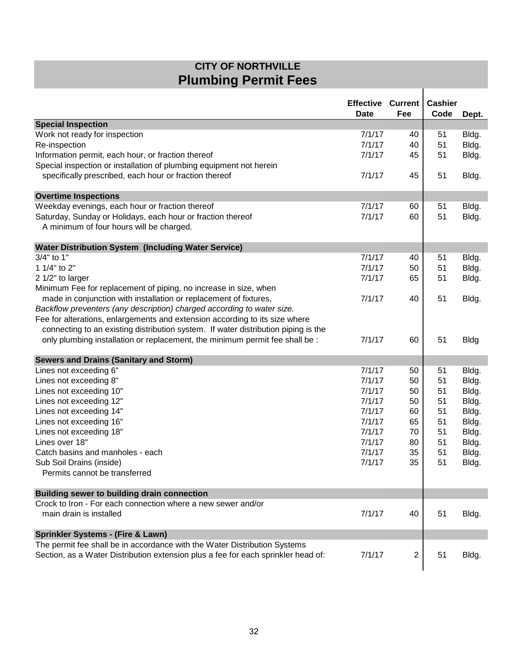## **CITY OF NORTHVILLE Plumbing Permit Fees**

|                                                                                                         | <b>Effective Current</b><br><b>Date</b> | Fee            | <b>Cashier</b><br>Code | Dept.       |
|---------------------------------------------------------------------------------------------------------|-----------------------------------------|----------------|------------------------|-------------|
| <b>Special Inspection</b>                                                                               |                                         |                |                        |             |
| Work not ready for inspection                                                                           | 7/1/17                                  | 40             | 51                     | Bldg.       |
| Re-inspection                                                                                           | 7/1/17                                  | 40             | 51                     | Bldg.       |
| Information permit, each hour, or fraction thereof                                                      | 7/1/17                                  | 45             | 51                     | Bldg.       |
| Special inspection or installation of plumbing equipment not herein                                     |                                         |                |                        |             |
| specifically prescribed, each hour or fraction thereof                                                  | 7/1/17                                  | 45             | 51                     | Bldg.       |
| <b>Overtime Inspections</b>                                                                             |                                         |                |                        |             |
| Weekday evenings, each hour or fraction thereof                                                         | 7/1/17                                  | 60             | 51                     | Bldg.       |
|                                                                                                         | 7/1/17                                  |                | 51                     |             |
| Saturday, Sunday or Holidays, each hour or fraction thereof<br>A minimum of four hours will be charged. |                                         | 60             |                        | Bldg.       |
| <b>Water Distribution System (Including Water Service)</b>                                              |                                         |                |                        |             |
| 3/4" to 1"                                                                                              | 7/1/17                                  | 40             | 51                     | Bldg.       |
| 1 1/4" to 2"                                                                                            | 7/1/17                                  | 50             | 51                     | Bldg.       |
| 2 1/2" to larger                                                                                        | 7/1/17                                  | 65             | 51                     | Bldg.       |
| Minimum Fee for replacement of piping, no increase in size, when                                        |                                         |                |                        |             |
| made in conjunction with installation or replacement of fixtures,                                       | 7/1/17                                  | 40             | 51                     | Bldg.       |
| Backflow preventers (any description) charged according to water size.                                  |                                         |                |                        |             |
| Fee for alterations, enlargements and extension according to its size where                             |                                         |                |                        |             |
| connecting to an existing distribution system. If water distribution piping is the                      |                                         |                |                        |             |
| only plumbing installation or replacement, the minimum permit fee shall be :                            | 7/1/17                                  | 60             | 51                     | <b>Bldg</b> |
| <b>Sewers and Drains (Sanitary and Storm)</b>                                                           |                                         |                |                        |             |
| Lines not exceeding 6"                                                                                  | 7/1/17                                  | 50             | 51                     | Bldg.       |
| Lines not exceeding 8"                                                                                  | 7/1/17                                  | 50             | 51                     | Bldg.       |
| Lines not exceeding 10"                                                                                 | 7/1/17                                  | 50             | 51                     | Bldg.       |
| Lines not exceeding 12"                                                                                 | 7/1/17                                  | 50             | 51                     | Bldg.       |
| Lines not exceeding 14"                                                                                 | 7/1/17                                  | 60             | 51                     | Bldg.       |
| Lines not exceeding 16"                                                                                 | 7/1/17                                  | 65             | 51                     | Bldg.       |
| Lines not exceeding 18"                                                                                 | 7/1/17                                  | 70             | 51                     | Bldg.       |
| Lines over 18"                                                                                          | 7/1/17                                  | 80             | 51                     | Bldg.       |
| Catch basins and manholes - each                                                                        | 7/1/17                                  | 35             | 51                     | Bldg.       |
| Sub Soil Drains (inside)                                                                                | 7/1/17                                  | 35             | 51                     | Bldg.       |
| Permits cannot be transferred                                                                           |                                         |                |                        |             |
|                                                                                                         |                                         |                |                        |             |
| <b>Building sewer to building drain connection</b>                                                      |                                         |                |                        |             |
| Crock to Iron - For each connection where a new sewer and/or                                            |                                         |                |                        |             |
| main drain is installed                                                                                 | 7/1/17                                  | 40             | 51                     | Bldg.       |
| Sprinkler Systems - (Fire & Lawn)                                                                       |                                         |                |                        |             |
| The permit fee shall be in accordance with the Water Distribution Systems                               |                                         |                |                        |             |
| Section, as a Water Distribution extension plus a fee for each sprinkler head of:                       | 7/1/17                                  | $\overline{c}$ | 51                     | Bldg.       |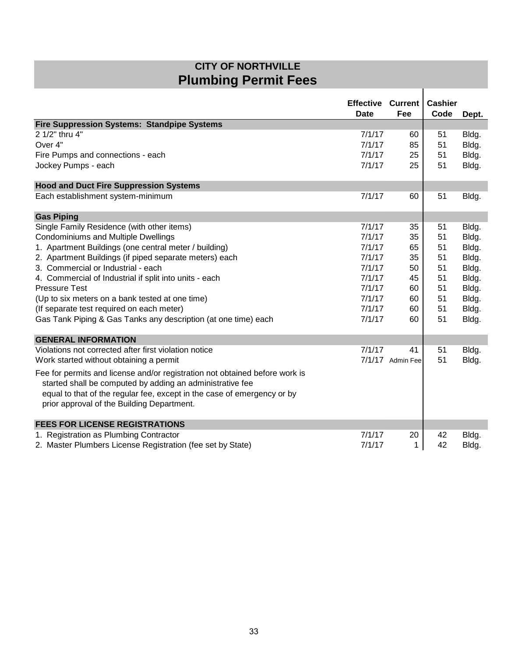## **CITY OF NORTHVILLE Plumbing Permit Fees**

 $\overline{1}$ 

|                                                                                                                                          | <b>Effective Current</b><br><b>Date</b> | Fee              | <b>Cashier</b><br>Code | Dept. |
|------------------------------------------------------------------------------------------------------------------------------------------|-----------------------------------------|------------------|------------------------|-------|
| <b>Fire Suppression Systems: Standpipe Systems</b>                                                                                       |                                         |                  |                        |       |
| 2 1/2" thru 4"                                                                                                                           | 7/1/17                                  | 60               | 51                     | Bldg. |
| Over 4"                                                                                                                                  | 7/1/17                                  | 85               | 51                     | Bldg. |
| Fire Pumps and connections - each                                                                                                        | 7/1/17                                  | 25               | 51                     | Bldg. |
| Jockey Pumps - each                                                                                                                      | 7/1/17                                  | 25               | 51                     | Bldg. |
| <b>Hood and Duct Fire Suppression Systems</b>                                                                                            |                                         |                  |                        |       |
| Each establishment system-minimum                                                                                                        | 7/1/17                                  | 60               | 51                     | Bldg. |
| <b>Gas Piping</b>                                                                                                                        |                                         |                  |                        |       |
| Single Family Residence (with other items)                                                                                               | 7/1/17                                  | 35               | 51                     | Bldg. |
| <b>Condominiums and Multiple Dwellings</b>                                                                                               | 7/1/17                                  | 35               | 51                     | Bldg. |
| 1. Apartment Buildings (one central meter / building)                                                                                    | 7/1/17                                  | 65               | 51                     | Bldg. |
| 2. Apartment Buildings (if piped separate meters) each                                                                                   | 7/1/17                                  | 35               | 51                     | Bldg. |
| 3. Commercial or Industrial - each                                                                                                       | 7/1/17                                  | 50               | 51                     | Bldg. |
| 4. Commercial of Industrial if split into units - each                                                                                   | 7/1/17                                  | 45               | 51                     | Bldg. |
| <b>Pressure Test</b>                                                                                                                     | 7/1/17                                  | 60               | 51                     | Bldg. |
| (Up to six meters on a bank tested at one time)                                                                                          | 7/1/17                                  | 60               | 51                     | Bldg. |
| (If separate test required on each meter)                                                                                                | 7/1/17                                  | 60               | 51                     | Bldg. |
| Gas Tank Piping & Gas Tanks any description (at one time) each                                                                           | 7/1/17                                  | 60               | 51                     | Bldg. |
| <b>GENERAL INFORMATION</b>                                                                                                               |                                         |                  |                        |       |
| Violations not corrected after first violation notice                                                                                    | 7/1/17                                  | 41               | 51                     | Bldg. |
| Work started without obtaining a permit                                                                                                  |                                         | 7/1/17 Admin Fee | 51                     | Bldg. |
| Fee for permits and license and/or registration not obtained before work is<br>started shall be computed by adding an administrative fee |                                         |                  |                        |       |
| equal to that of the regular fee, except in the case of emergency or by                                                                  |                                         |                  |                        |       |
| prior approval of the Building Department.                                                                                               |                                         |                  |                        |       |
| <b>FEES FOR LICENSE REGISTRATIONS</b>                                                                                                    |                                         |                  |                        |       |
| 1. Registration as Plumbing Contractor                                                                                                   | 7/1/17                                  | 20               | 42                     | Bldg. |
| 2. Master Plumbers License Registration (fee set by State)                                                                               | 7/1/17                                  | 1                | 42                     | Bldg. |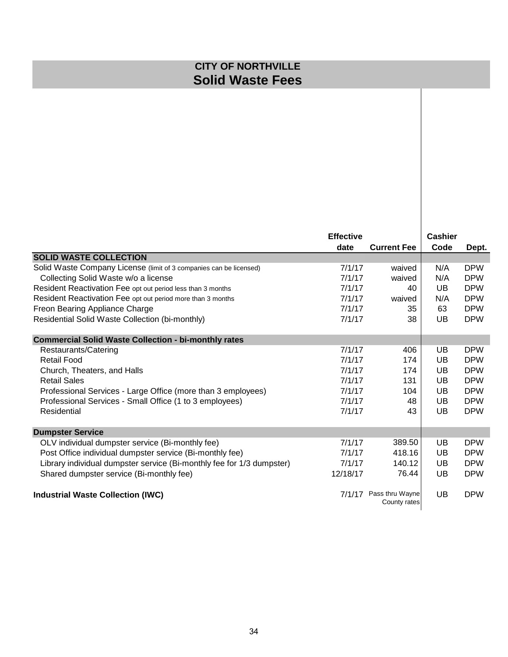## **CITY OF NORTHVILLE Solid Waste Fees**

|                                                                       | <b>Effective</b> |                                 | <b>Cashier</b> |            |
|-----------------------------------------------------------------------|------------------|---------------------------------|----------------|------------|
|                                                                       | date             | <b>Current Fee</b>              | Code           | Dept.      |
| <b>SOLID WASTE COLLECTION</b>                                         |                  |                                 |                |            |
| Solid Waste Company License (limit of 3 companies can be licensed)    | 7/1/17           | waived                          | N/A            | <b>DPW</b> |
| Collecting Solid Waste w/o a license                                  | 7/1/17           | waived                          | N/A            | <b>DPW</b> |
| Resident Reactivation Fee opt out period less than 3 months           | 7/1/17           | 40                              | UB             | <b>DPW</b> |
| Resident Reactivation Fee opt out period more than 3 months           | 7/1/17           | waived                          | N/A            | <b>DPW</b> |
| Freon Bearing Appliance Charge                                        | 7/1/17           | 35                              | 63             | <b>DPW</b> |
| Residential Solid Waste Collection (bi-monthly)                       | 7/1/17           | 38                              | UB             | <b>DPW</b> |
| <b>Commercial Solid Waste Collection - bi-monthly rates</b>           |                  |                                 |                |            |
| Restaurants/Catering                                                  | 7/1/17           | 406                             | UB             | <b>DPW</b> |
| <b>Retail Food</b>                                                    | 7/1/17           | 174                             | UB             | <b>DPW</b> |
| Church, Theaters, and Halls                                           | 7/1/17           | 174                             | UB             | <b>DPW</b> |
| <b>Retail Sales</b>                                                   | 7/1/17           | 131                             | UB             | <b>DPW</b> |
| Professional Services - Large Office (more than 3 employees)          | 7/1/17           | 104                             | UB             | <b>DPW</b> |
| Professional Services - Small Office (1 to 3 employees)               | 7/1/17           | 48                              | UB             | <b>DPW</b> |
| Residential                                                           | 7/1/17           | 43                              | UB             | <b>DPW</b> |
| <b>Dumpster Service</b>                                               |                  |                                 |                |            |
| OLV individual dumpster service (Bi-monthly fee)                      | 7/1/17           | 389.50                          | UB             | <b>DPW</b> |
| Post Office individual dumpster service (Bi-monthly fee)              | 7/1/17           | 418.16                          | UB             | <b>DPW</b> |
| Library individual dumpster service (Bi-monthly fee for 1/3 dumpster) | 7/1/17           | 140.12                          | UB             | <b>DPW</b> |
| Shared dumpster service (Bi-monthly fee)                              | 12/18/17         | 76.44                           | UB             | <b>DPW</b> |
| <b>Industrial Waste Collection (IWC)</b>                              | 7/1/17           | Pass thru Wayne<br>County rates | UB             | <b>DPW</b> |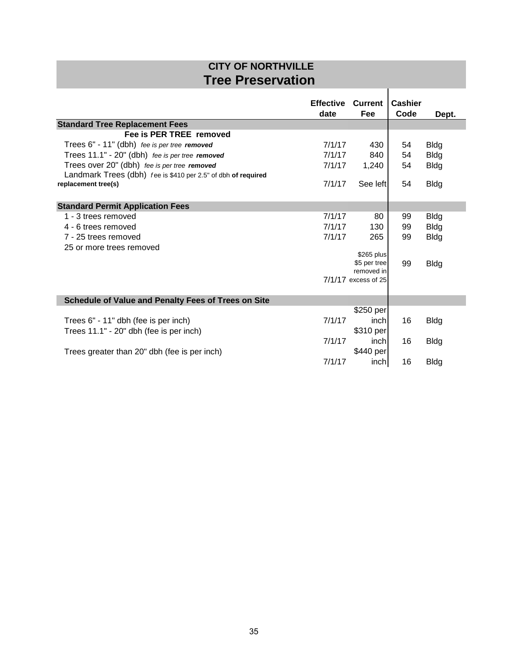## **CITY OF NORTHVILLE Tree Preservation**

 $\overline{1}$ 

|                                                               | <b>Effective</b><br>date | <b>Current</b><br>Fee      | <b>Cashier</b><br>Code | Dept.       |
|---------------------------------------------------------------|--------------------------|----------------------------|------------------------|-------------|
| <b>Standard Tree Replacement Fees</b>                         |                          |                            |                        |             |
| Fee is PER TREE removed                                       |                          |                            |                        |             |
| Trees 6" - 11" (dbh) fee is per tree removed                  | 7/1/17                   | 430                        | 54                     | <b>Bldg</b> |
| Trees 11.1" - 20" (dbh) fee is per tree removed               | 7/1/17                   | 840                        | 54                     | <b>Bldg</b> |
| Trees over 20" (dbh) fee is per tree removed                  | 7/1/17                   | 1,240                      | 54                     | <b>Bldg</b> |
| Landmark Trees (dbh) fee is \$410 per 2.5" of dbh of required |                          |                            |                        |             |
| replacement tree(s)                                           | 7/1/17                   | See left                   | 54                     | <b>Bldg</b> |
| <b>Standard Permit Application Fees</b>                       |                          |                            |                        |             |
| 1 - 3 trees removed                                           | 7/1/17                   | 80                         | 99                     | <b>Bldg</b> |
| 4 - 6 trees removed                                           | 7/1/17                   | 130                        | 99                     | <b>Bldg</b> |
| 7 - 25 trees removed                                          | 7/1/17                   | 265                        | 99                     | <b>Bldg</b> |
| 25 or more trees removed                                      |                          |                            |                        |             |
|                                                               |                          | \$265 plus<br>\$5 per tree |                        |             |
|                                                               |                          | removed in                 | 99                     | <b>Bldg</b> |
|                                                               |                          | 7/1/17 excess of 25        |                        |             |
| <b>Schedule of Value and Penalty Fees of Trees on Site</b>    |                          |                            |                        |             |
|                                                               |                          | \$250 per                  |                        |             |
| Trees 6" - 11" dbh (fee is per inch)                          | 7/1/17                   | inch                       | 16                     | <b>Bldg</b> |
| Trees 11.1" - 20" dbh (fee is per inch)                       |                          | \$310 per                  |                        |             |
|                                                               | 7/1/17                   | inchl                      | 16                     | <b>Bldg</b> |
| Trees greater than 20" dbh (fee is per inch)                  |                          | \$440 per                  |                        |             |
|                                                               | 7/1/17                   | inch                       | 16                     | <b>Bldg</b> |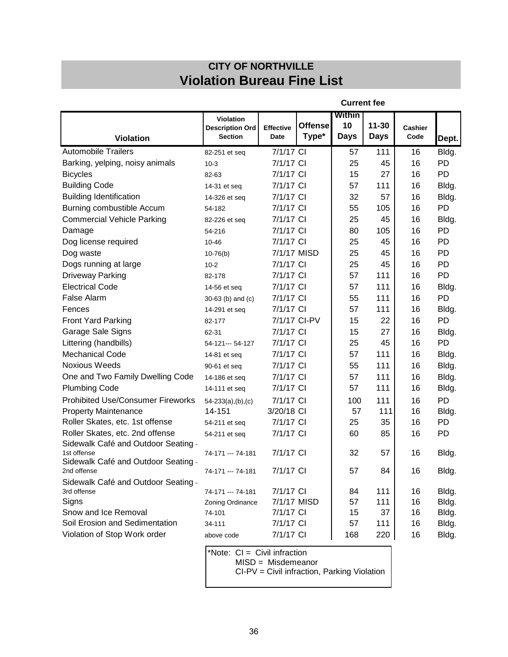## **CITY OF NORTHVILLE Violation Bureau Fine List**

|                                                                        |                                                       |                          | <b>Current fee</b>      |                             |                          |                        |           |
|------------------------------------------------------------------------|-------------------------------------------------------|--------------------------|-------------------------|-----------------------------|--------------------------|------------------------|-----------|
| <b>Violation</b>                                                       | Violation<br><b>Description Ord</b><br><b>Section</b> | <b>Effective</b><br>Date | <b>Offense</b><br>Type* | Within<br>10<br><b>Days</b> | $11 - 30$<br><b>Days</b> | <b>Cashier</b><br>Code | Dept.     |
| <b>Automobile Trailers</b>                                             | 82-251 et seq                                         | 7/1/17 CI                |                         | 57                          | 111                      | 16                     | Bldg.     |
| Barking, yelping, noisy animals                                        | $10-3$                                                | 7/1/17 CI                |                         | 25                          | 45                       | 16                     | PD        |
| <b>Bicycles</b>                                                        | 82-63                                                 | 7/1/17 CI                |                         | 15                          | 27                       | 16                     | PD        |
| <b>Building Code</b>                                                   | 14-31 et seq                                          | 7/1/17 CI                |                         | 57                          | 111                      | 16                     | Bldg.     |
| <b>Building Identification</b>                                         | 14-326 et seq                                         | 7/1/17 CI                |                         | 32                          | 57                       | 16                     | Bldg.     |
| Burning combustible Accum                                              | 54-182                                                | 7/1/17 CI                |                         | 55                          | 105                      | 16                     | PD        |
| <b>Commercial Vehicle Parking</b>                                      | 82-226 et seq                                         | 7/1/17 CI                |                         | 25                          | 45                       | 16                     | Bldg.     |
| Damage                                                                 | 54-216                                                | 7/1/17 CI                |                         | 80                          | 105                      | 16                     | <b>PD</b> |
| Dog license required                                                   | 10-46                                                 | 7/1/17 CI                |                         | 25                          | 45                       | 16                     | PD        |
| Dog waste                                                              | $10-76(b)$                                            | 7/1/17 MISD              |                         | 25                          | 45                       | 16                     | PD        |
| Dogs running at large                                                  | $10 - 2$                                              | 7/1/17 CI                |                         | 25                          | 45                       | 16                     | PD        |
| <b>Driveway Parking</b>                                                | 82-178                                                | 7/1/17 CI                |                         | 57                          | 111                      | 16                     | PD        |
| <b>Electrical Code</b>                                                 | 14-56 et seq                                          | 7/1/17 CI                |                         | 57                          | 111                      | 16                     | Bldg.     |
| False Alarm                                                            | 30-63 (b) and (c)                                     | 7/1/17 CI                |                         | 55                          | 111                      | 16                     | PD        |
| Fences                                                                 | 14-291 et seq                                         | 7/1/17 CI                |                         | 57                          | 111                      | 16                     | Bldg.     |
| Front Yard Parking                                                     | 82-177                                                | 7/1/17 CI-PV             |                         | 15                          | 22                       | 16                     | PD        |
| Garage Sale Signs                                                      | 62-31                                                 | 7/1/17 CI                |                         | 15                          | 27                       | 16                     | Bldg.     |
| Littering (handbills)                                                  | 54-121--- 54-127                                      | 7/1/17 CI                |                         | 25                          | 45                       | 16                     | PD        |
| <b>Mechanical Code</b>                                                 | 14-81 et seq                                          | 7/1/17 CI                |                         | 57                          | 111                      | 16                     | Bldg.     |
| <b>Noxious Weeds</b>                                                   | 90-61 et seq                                          | 7/1/17 CI                |                         | 55                          | 111                      | 16                     | Bldg.     |
| One and Two Family Dwelling Code                                       | 14-186 et seq                                         | 7/1/17 CI                |                         | 57                          | 111                      | 16                     | Bldg.     |
| <b>Plumbing Code</b>                                                   | 14-111 et seq                                         | 7/1/17 CI                |                         | 57                          | 111                      | 16                     | Bldg.     |
| <b>Prohibited Use/Consumer Fireworks</b>                               | $54-233(a)$ , (b), (c)                                | 7/1/17 CI                |                         | 100                         | 111                      | 16                     | PD        |
| <b>Property Maintenance</b>                                            | 14-151                                                | 3/20/18 CI               |                         | 57                          | 111                      | 16                     | Bldg.     |
| Roller Skates, etc. 1st offense                                        | 54-211 et seq                                         | 7/1/17 CI                |                         | 25                          | 35                       | 16                     | PD        |
| Roller Skates, etc. 2nd offense<br>Sidewalk Café and Outdoor Seating - | 54-211 et seq                                         | 7/1/17 CI                |                         | 60                          | 85                       | 16                     | PD        |
| 1st offense<br>Sidewalk Café and Outdoor Seating -                     | 74-171 --- 74-181                                     | 7/1/17 CI                |                         | 32                          | 57                       | 16                     | Bldg.     |
| 2nd offense                                                            | 74-171 --- 74-181                                     | 7/1/17 CI                |                         | 57                          | 84                       | 16                     | Bldg.     |
| Sidewalk Café and Outdoor Seating -<br>3rd offense                     | 74-171 -- 74-181                                      | 7/1/17 CI                |                         | 84                          | 111                      | 16                     | Bldg.     |
| Signs                                                                  | Zoning Ordinance                                      | 7/1/17 MISD              |                         | 57                          | 111                      | 16                     | Bldg.     |
| Snow and Ice Removal                                                   | 74-101                                                | 7/1/17 CI                |                         | 15                          | 37                       | 16                     | Bldg.     |
| Soil Erosion and Sedimentation                                         | 34-111                                                | 7/1/17 CI                |                         | 57                          | 111                      | 16                     | Bldg.     |
| Violation of Stop Work order                                           | above code                                            | 7/1/17 CI                |                         | 168                         | 220                      | 16                     | Bldg.     |
|                                                                        | *Note: CI = Civil infraction                          |                          |                         |                             |                          |                        |           |

MISD = Misdemeanor

CI-PV = Civil infraction, Parking Violation